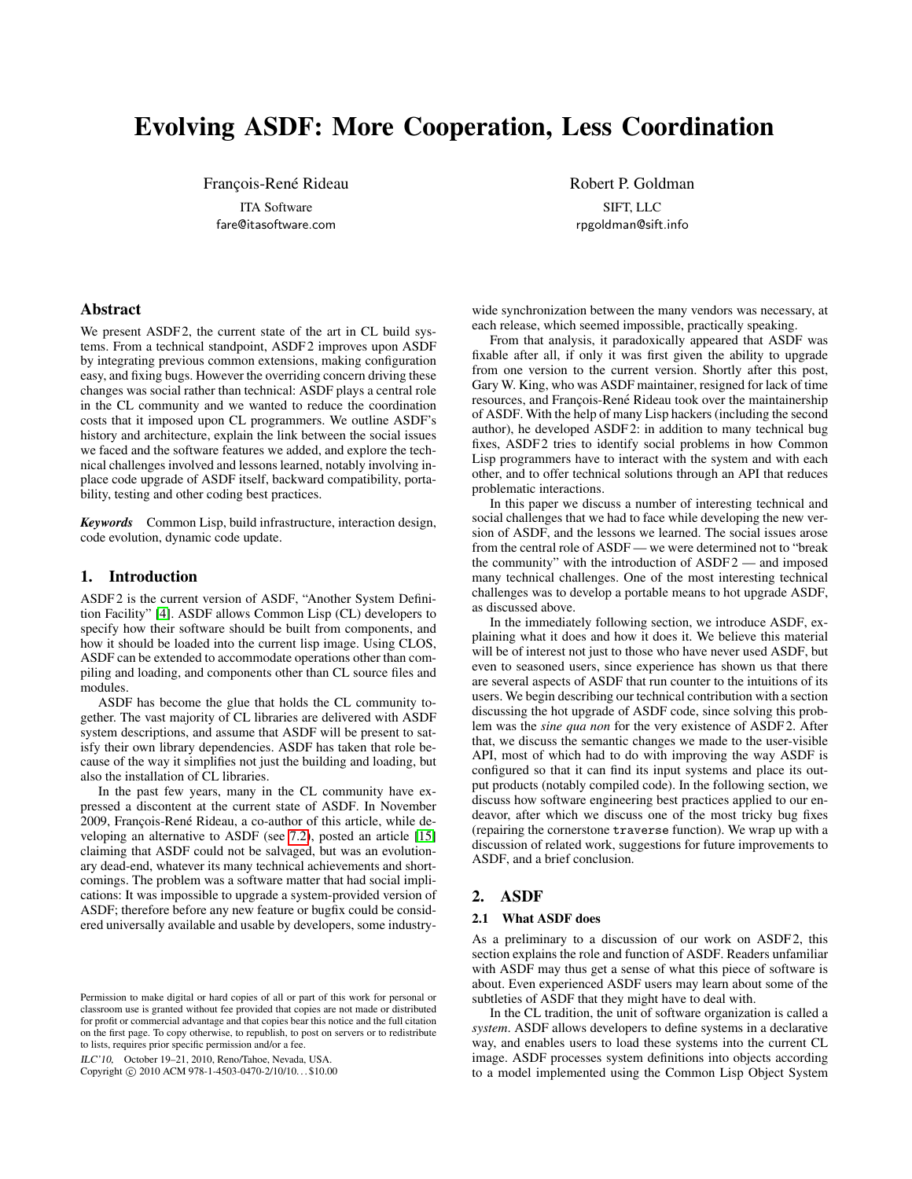# Evolving ASDF: More Cooperation, Less Coordination

François-René Rideau

ITA Software fare@itasoftware.com Robert P. Goldman

SIFT, LLC rpgoldman@sift.info

# Abstract

We present ASDF<sub>2</sub>, the current state of the art in CL build systems. From a technical standpoint, ASDF 2 improves upon ASDF by integrating previous common extensions, making configuration easy, and fixing bugs. However the overriding concern driving these changes was social rather than technical: ASDF plays a central role in the CL community and we wanted to reduce the coordination costs that it imposed upon CL programmers. We outline ASDF's history and architecture, explain the link between the social issues we faced and the software features we added, and explore the technical challenges involved and lessons learned, notably involving inplace code upgrade of ASDF itself, backward compatibility, portability, testing and other coding best practices.

*Keywords* Common Lisp, build infrastructure, interaction design, code evolution, dynamic code update.

# 1. Introduction

ASDF 2 is the current version of ASDF, "Another System Definition Facility" [\[4\]](#page-12-0). ASDF allows Common Lisp (CL) developers to specify how their software should be built from components, and how it should be loaded into the current lisp image. Using CLOS, ASDF can be extended to accommodate operations other than compiling and loading, and components other than CL source files and modules.

ASDF has become the glue that holds the CL community together. The vast majority of CL libraries are delivered with ASDF system descriptions, and assume that ASDF will be present to satisfy their own library dependencies. ASDF has taken that role because of the way it simplifies not just the building and loading, but also the installation of CL libraries.

In the past few years, many in the CL community have expressed a discontent at the current state of ASDF. In November 2009, François-René Rideau, a co-author of this article, while developing an alternative to ASDF (see [7.2\)](#page-11-0), posted an article [\[15\]](#page-13-0) claiming that ASDF could not be salvaged, but was an evolutionary dead-end, whatever its many technical achievements and shortcomings. The problem was a software matter that had social implications: It was impossible to upgrade a system-provided version of ASDF; therefore before any new feature or bugfix could be considered universally available and usable by developers, some industry-

ILC'10, October 19–21, 2010, Reno/Tahoe, Nevada, USA.

Copyright © 2010 ACM 978-1-4503-0470-2/10/10... \$10.00

wide synchronization between the many vendors was necessary, at each release, which seemed impossible, practically speaking.

From that analysis, it paradoxically appeared that ASDF was fixable after all, if only it was first given the ability to upgrade from one version to the current version. Shortly after this post, Gary W. King, who was ASDF maintainer, resigned for lack of time resources, and François-René Rideau took over the maintainership of ASDF. With the help of many Lisp hackers (including the second author), he developed ASDF 2: in addition to many technical bug fixes, ASDF2 tries to identify social problems in how Common Lisp programmers have to interact with the system and with each other, and to offer technical solutions through an API that reduces problematic interactions.

In this paper we discuss a number of interesting technical and social challenges that we had to face while developing the new version of ASDF, and the lessons we learned. The social issues arose from the central role of ASDF — we were determined not to "break the community" with the introduction of ASDF 2 — and imposed many technical challenges. One of the most interesting technical challenges was to develop a portable means to hot upgrade ASDF, as discussed above.

In the immediately following section, we introduce ASDF, explaining what it does and how it does it. We believe this material will be of interest not just to those who have never used ASDF, but even to seasoned users, since experience has shown us that there are several aspects of ASDF that run counter to the intuitions of its users. We begin describing our technical contribution with a section discussing the hot upgrade of ASDF code, since solving this problem was the *sine qua non* for the very existence of ASDF 2. After that, we discuss the semantic changes we made to the user-visible API, most of which had to do with improving the way ASDF is configured so that it can find its input systems and place its output products (notably compiled code). In the following section, we discuss how software engineering best practices applied to our endeavor, after which we discuss one of the most tricky bug fixes (repairing the cornerstone traverse function). We wrap up with a discussion of related work, suggestions for future improvements to ASDF, and a brief conclusion.

# 2. ASDF

#### 2.1 What ASDF does

As a preliminary to a discussion of our work on ASDF 2, this section explains the role and function of ASDF. Readers unfamiliar with ASDF may thus get a sense of what this piece of software is about. Even experienced ASDF users may learn about some of the subtleties of ASDF that they might have to deal with.

In the CL tradition, the unit of software organization is called a *system*. ASDF allows developers to define systems in a declarative way, and enables users to load these systems into the current CL image. ASDF processes system definitions into objects according to a model implemented using the Common Lisp Object System

Permission to make digital or hard copies of all or part of this work for personal or classroom use is granted without fee provided that copies are not made or distributed for profit or commercial advantage and that copies bear this notice and the full citation on the first page. To copy otherwise, to republish, to post on servers or to redistribute to lists, requires prior specific permission and/or a fee.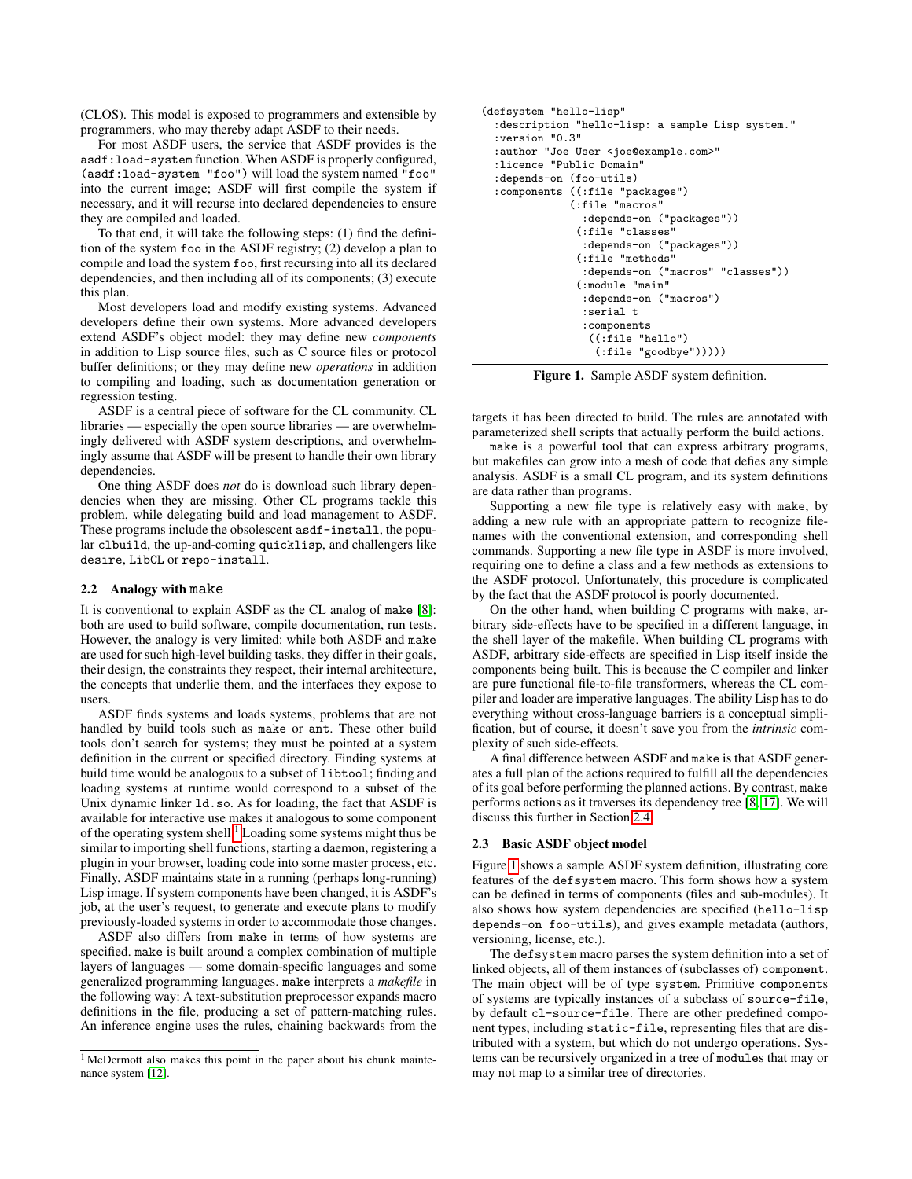(CLOS). This model is exposed to programmers and extensible by programmers, who may thereby adapt ASDF to their needs.

For most ASDF users, the service that ASDF provides is the asdf:load-system function. When ASDF is properly configured, (asdf:load-system "foo") will load the system named "foo" into the current image; ASDF will first compile the system if necessary, and it will recurse into declared dependencies to ensure they are compiled and loaded.

To that end, it will take the following steps: (1) find the definition of the system foo in the ASDF registry; (2) develop a plan to compile and load the system foo, first recursing into all its declared dependencies, and then including all of its components; (3) execute this plan.

Most developers load and modify existing systems. Advanced developers define their own systems. More advanced developers extend ASDF's object model: they may define new *components* in addition to Lisp source files, such as C source files or protocol buffer definitions; or they may define new *operations* in addition to compiling and loading, such as documentation generation or regression testing.

ASDF is a central piece of software for the CL community. CL libraries — especially the open source libraries — are overwhelmingly delivered with ASDF system descriptions, and overwhelmingly assume that ASDF will be present to handle their own library dependencies.

One thing ASDF does *not* do is download such library dependencies when they are missing. Other CL programs tackle this problem, while delegating build and load management to ASDF. These programs include the obsolescent asdf-install, the popular clbuild, the up-and-coming quicklisp, and challengers like desire, LibCL or repo-install.

#### <span id="page-1-2"></span>2.2 Analogy with make

It is conventional to explain ASDF as the CL analog of make [\[8\]](#page-13-1): both are used to build software, compile documentation, run tests. However, the analogy is very limited: while both ASDF and make are used for such high-level building tasks, they differ in their goals, their design, the constraints they respect, their internal architecture, the concepts that underlie them, and the interfaces they expose to users.

ASDF finds systems and loads systems, problems that are not handled by build tools such as make or ant. These other build tools don't search for systems; they must be pointed at a system definition in the current or specified directory. Finding systems at build time would be analogous to a subset of libtool; finding and loading systems at runtime would correspond to a subset of the Unix dynamic linker ld.so. As for loading, the fact that ASDF is available for interactive use makes it analogous to some component of the operating system shell.<sup>[1](#page-1-0)</sup> Loading some systems might thus be similar to importing shell functions, starting a daemon, registering a plugin in your browser, loading code into some master process, etc. Finally, ASDF maintains state in a running (perhaps long-running) Lisp image. If system components have been changed, it is ASDF's job, at the user's request, to generate and execute plans to modify previously-loaded systems in order to accommodate those changes.

ASDF also differs from make in terms of how systems are specified. make is built around a complex combination of multiple layers of languages — some domain-specific languages and some generalized programming languages. make interprets a *makefile* in the following way: A text-substitution preprocessor expands macro definitions in the file, producing a set of pattern-matching rules. An inference engine uses the rules, chaining backwards from the

```
(defsystem "hello-lisp"
  :description "hello-lisp: a sample Lisp system."
  :version "0.3"
  :author "Joe User <joe@example.com>"
  :licence "Public Domain"
  :depends-on (foo-utils)
  :components ((:file "packages")
              (:file "macros"
                :depends-on ("packages"))
               (:file "classes"
                :depends-on ("packages"))
                (:file "methods"
                :depends-on ("macros" "classes"))
               (:module "main"
                :depends-on ("macros")
                :serial t
                :components
                 ((:file "hello")
                  (:file "goodbye")))))
```
<span id="page-1-1"></span>Figure 1. Sample ASDF system definition.

targets it has been directed to build. The rules are annotated with parameterized shell scripts that actually perform the build actions.

make is a powerful tool that can express arbitrary programs, but makefiles can grow into a mesh of code that defies any simple analysis. ASDF is a small CL program, and its system definitions are data rather than programs.

Supporting a new file type is relatively easy with make, by adding a new rule with an appropriate pattern to recognize filenames with the conventional extension, and corresponding shell commands. Supporting a new file type in ASDF is more involved, requiring one to define a class and a few methods as extensions to the ASDF protocol. Unfortunately, this procedure is complicated by the fact that the ASDF protocol is poorly documented.

On the other hand, when building C programs with make, arbitrary side-effects have to be specified in a different language, in the shell layer of the makefile. When building CL programs with ASDF, arbitrary side-effects are specified in Lisp itself inside the components being built. This is because the C compiler and linker are pure functional file-to-file transformers, whereas the CL compiler and loader are imperative languages. The ability Lisp has to do everything without cross-language barriers is a conceptual simplification, but of course, it doesn't save you from the *intrinsic* complexity of such side-effects.

A final difference between ASDF and make is that ASDF generates a full plan of the actions required to fulfill all the dependencies of its goal before performing the planned actions. By contrast, make performs actions as it traverses its dependency tree [\[8,](#page-13-1) [17\]](#page-13-3). We will discuss this further in Section [2.4.](#page-2-0)

#### 2.3 Basic ASDF object model

Figure [1](#page-1-1) shows a sample ASDF system definition, illustrating core features of the defsystem macro. This form shows how a system can be defined in terms of components (files and sub-modules). It also shows how system dependencies are specified (hello-lisp depends-on foo-utils), and gives example metadata (authors, versioning, license, etc.).

The defsystem macro parses the system definition into a set of linked objects, all of them instances of (subclasses of) component. The main object will be of type system. Primitive components of systems are typically instances of a subclass of source-file, by default cl-source-file. There are other predefined component types, including static-file, representing files that are distributed with a system, but which do not undergo operations. Systems can be recursively organized in a tree of modules that may or may not map to a similar tree of directories.

<span id="page-1-0"></span><sup>&</sup>lt;sup>1</sup> McDermott also makes this point in the paper about his chunk maintenance system [\[12\]](#page-13-2).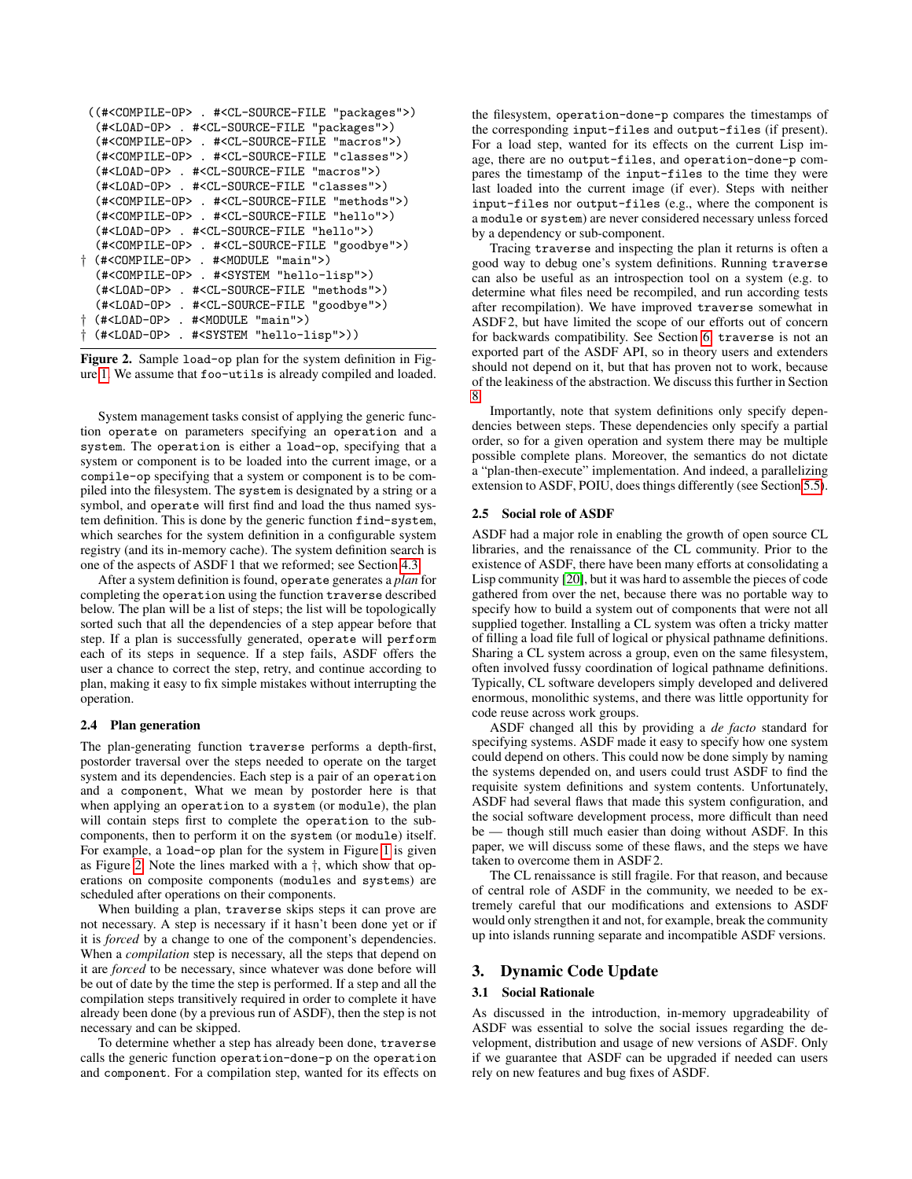```
((#<COMPILE-OP> . #<CL-SOURCE-FILE "packages">)
 (#<LOAD-OP> . #<CL-SOURCE-FILE "packages">)
 (#<COMPILE-OP> . #<CL-SOURCE-FILE "macros">)
  (#<COMPILE-OP> . #<CL-SOURCE-FILE "classes">)
 (#<LOAD-OP> . #<CL-SOURCE-FILE "macros">)
 (#<LOAD-OP> . #<CL-SOURCE-FILE "classes">)
 (#<COMPILE-OP> . #<CL-SOURCE-FILE "methods">)
 (#<COMPILE-OP> . #<CL-SOURCE-FILE "hello">)
  (#<LOAD-OP> . #<CL-SOURCE-FILE "hello">)
  (#<COMPILE-OP> . #<CL-SOURCE-FILE "goodbye">)
† (#<COMPILE-OP> . #<MODULE "main">)
  (#<COMPILE-OP> . #<SYSTEM "hello-lisp">)
  (#<LOAD-OP> . #<CL-SOURCE-FILE "methods">)
  (#<LOAD-OP> . #<CL-SOURCE-FILE "goodbye">)
† (#<LOAD-OP> . #<MODULE "main">)
† (#<LOAD-OP> . #<SYSTEM "hello-lisp">))
```
<span id="page-2-1"></span>Figure 2. Sample load-op plan for the system definition in Figure [1.](#page-1-1) We assume that foo-utils is already compiled and loaded.

System management tasks consist of applying the generic function operate on parameters specifying an operation and a system. The operation is either a load-op, specifying that a system or component is to be loaded into the current image, or a compile-op specifying that a system or component is to be compiled into the filesystem. The system is designated by a string or a symbol, and operate will first find and load the thus named system definition. This is done by the generic function find-system, which searches for the system definition in a configurable system registry (and its in-memory cache). The system definition search is one of the aspects of ASDF 1 that we reformed; see Section [4.3.](#page-6-0)

After a system definition is found, operate generates a *plan* for completing the operation using the function traverse described below. The plan will be a list of steps; the list will be topologically sorted such that all the dependencies of a step appear before that step. If a plan is successfully generated, operate will perform each of its steps in sequence. If a step fails, ASDF offers the user a chance to correct the step, retry, and continue according to plan, making it easy to fix simple mistakes without interrupting the operation.

#### <span id="page-2-0"></span>2.4 Plan generation

The plan-generating function traverse performs a depth-first, postorder traversal over the steps needed to operate on the target system and its dependencies. Each step is a pair of an operation and a component, What we mean by postorder here is that when applying an operation to a system (or module), the plan will contain steps first to complete the operation to the subcomponents, then to perform it on the system (or module) itself. For example, a load-op plan for the system in Figure [1](#page-1-1) is given as Figure [2.](#page-2-1) Note the lines marked with a †, which show that operations on composite components (modules and systems) are scheduled after operations on their components.

When building a plan, traverse skips steps it can prove are not necessary. A step is necessary if it hasn't been done yet or if it is *forced* by a change to one of the component's dependencies. When a *compilation* step is necessary, all the steps that depend on it are *forced* to be necessary, since whatever was done before will be out of date by the time the step is performed. If a step and all the compilation steps transitively required in order to complete it have already been done (by a previous run of ASDF), then the step is not necessary and can be skipped.

To determine whether a step has already been done, traverse calls the generic function operation-done-p on the operation and component. For a compilation step, wanted for its effects on the filesystem, operation-done-p compares the timestamps of the corresponding input-files and output-files (if present). For a load step, wanted for its effects on the current Lisp image, there are no output-files, and operation-done-p compares the timestamp of the input-files to the time they were last loaded into the current image (if ever). Steps with neither input-files nor output-files (e.g., where the component is a module or system) are never considered necessary unless forced by a dependency or sub-component.

Tracing traverse and inspecting the plan it returns is often a good way to debug one's system definitions. Running traverse can also be useful as an introspection tool on a system (e.g. to determine what files need be recompiled, and run according tests after recompilation). We have improved traverse somewhat in ASDF 2, but have limited the scope of our efforts out of concern for backwards compatibility. See Section [6.](#page-10-0) traverse is not an exported part of the ASDF API, so in theory users and extenders should not depend on it, but that has proven not to work, because of the leakiness of the abstraction. We discuss this further in Section [8.](#page-11-1)

Importantly, note that system definitions only specify dependencies between steps. These dependencies only specify a partial order, so for a given operation and system there may be multiple possible complete plans. Moreover, the semantics do not dictate a "plan-then-execute" implementation. And indeed, a parallelizing extension to ASDF, POIU, does things differently (see Section [5.5\)](#page-9-0).

## 2.5 Social role of ASDF

ASDF had a major role in enabling the growth of open source CL libraries, and the renaissance of the CL community. Prior to the existence of ASDF, there have been many efforts at consolidating a Lisp community [\[20\]](#page-13-4), but it was hard to assemble the pieces of code gathered from over the net, because there was no portable way to specify how to build a system out of components that were not all supplied together. Installing a CL system was often a tricky matter of filling a load file full of logical or physical pathname definitions. Sharing a CL system across a group, even on the same filesystem, often involved fussy coordination of logical pathname definitions. Typically, CL software developers simply developed and delivered enormous, monolithic systems, and there was little opportunity for code reuse across work groups.

ASDF changed all this by providing a *de facto* standard for specifying systems. ASDF made it easy to specify how one system could depend on others. This could now be done simply by naming the systems depended on, and users could trust ASDF to find the requisite system definitions and system contents. Unfortunately, ASDF had several flaws that made this system configuration, and the social software development process, more difficult than need be — though still much easier than doing without ASDF. In this paper, we will discuss some of these flaws, and the steps we have taken to overcome them in ASDF 2.

The CL renaissance is still fragile. For that reason, and because of central role of ASDF in the community, we needed to be extremely careful that our modifications and extensions to ASDF would only strengthen it and not, for example, break the community up into islands running separate and incompatible ASDF versions.

# <span id="page-2-2"></span>3. Dynamic Code Update

#### 3.1 Social Rationale

As discussed in the introduction, in-memory upgradeability of ASDF was essential to solve the social issues regarding the development, distribution and usage of new versions of ASDF. Only if we guarantee that ASDF can be upgraded if needed can users rely on new features and bug fixes of ASDF.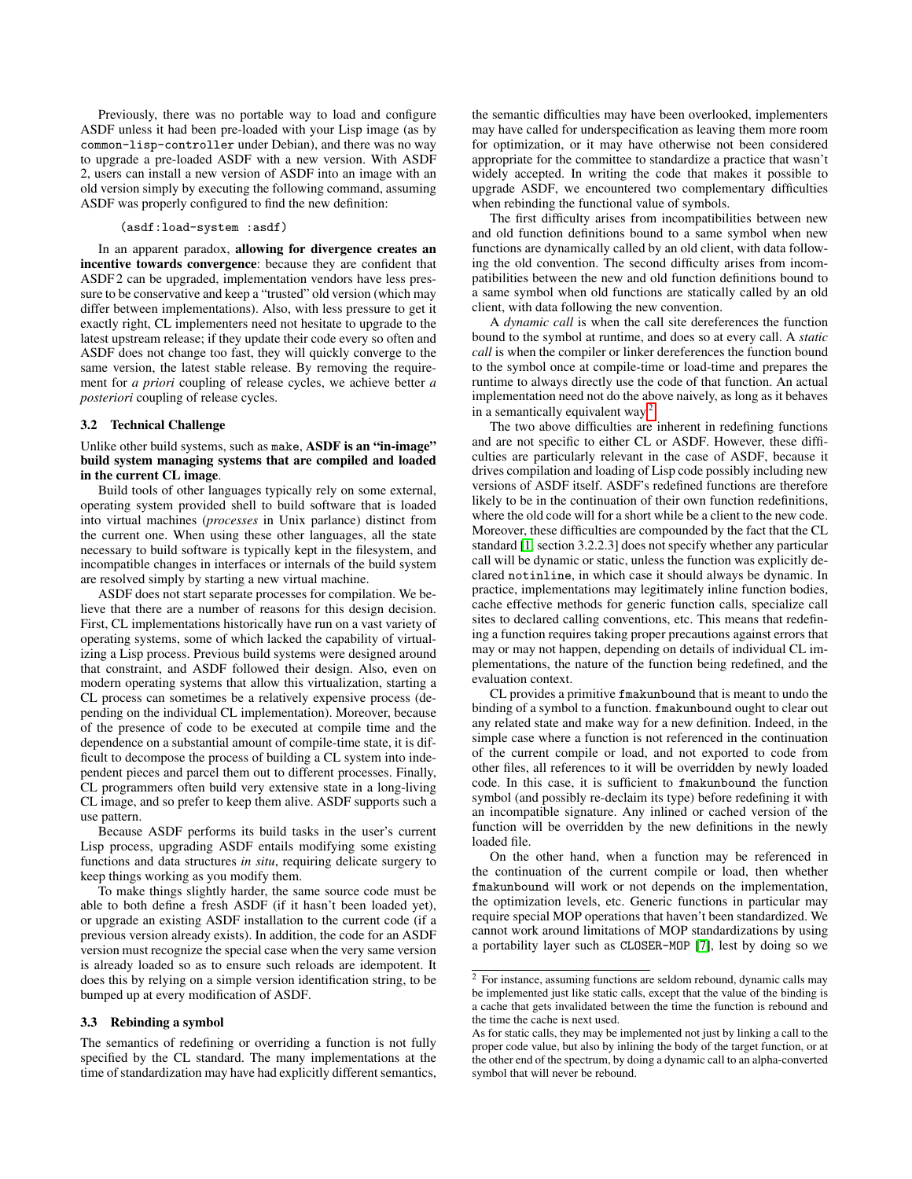Previously, there was no portable way to load and configure ASDF unless it had been pre-loaded with your Lisp image (as by common-lisp-controller under Debian), and there was no way to upgrade a pre-loaded ASDF with a new version. With ASDF 2, users can install a new version of ASDF into an image with an old version simply by executing the following command, assuming ASDF was properly configured to find the new definition:

#### (asdf:load-system :asdf)

In an apparent paradox, allowing for divergence creates an incentive towards convergence: because they are confident that ASDF<sub>2</sub> can be upgraded, implementation vendors have less pressure to be conservative and keep a "trusted" old version (which may differ between implementations). Also, with less pressure to get it exactly right, CL implementers need not hesitate to upgrade to the latest upstream release; if they update their code every so often and ASDF does not change too fast, they will quickly converge to the same version, the latest stable release. By removing the requirement for *a priori* coupling of release cycles, we achieve better *a posteriori* coupling of release cycles.

# 3.2 Technical Challenge

# Unlike other build systems, such as make, ASDF is an "in-image" build system managing systems that are compiled and loaded in the current CL image.

Build tools of other languages typically rely on some external, operating system provided shell to build software that is loaded into virtual machines (*processes* in Unix parlance) distinct from the current one. When using these other languages, all the state necessary to build software is typically kept in the filesystem, and incompatible changes in interfaces or internals of the build system are resolved simply by starting a new virtual machine.

ASDF does not start separate processes for compilation. We believe that there are a number of reasons for this design decision. First, CL implementations historically have run on a vast variety of operating systems, some of which lacked the capability of virtualizing a Lisp process. Previous build systems were designed around that constraint, and ASDF followed their design. Also, even on modern operating systems that allow this virtualization, starting a CL process can sometimes be a relatively expensive process (depending on the individual CL implementation). Moreover, because of the presence of code to be executed at compile time and the dependence on a substantial amount of compile-time state, it is difficult to decompose the process of building a CL system into independent pieces and parcel them out to different processes. Finally, CL programmers often build very extensive state in a long-living CL image, and so prefer to keep them alive. ASDF supports such a use pattern.

Because ASDF performs its build tasks in the user's current Lisp process, upgrading ASDF entails modifying some existing functions and data structures *in situ*, requiring delicate surgery to keep things working as you modify them.

To make things slightly harder, the same source code must be able to both define a fresh ASDF (if it hasn't been loaded yet), or upgrade an existing ASDF installation to the current code (if a previous version already exists). In addition, the code for an ASDF version must recognize the special case when the very same version is already loaded so as to ensure such reloads are idempotent. It does this by relying on a simple version identification string, to be bumped up at every modification of ASDF.

#### 3.3 Rebinding a symbol

The semantics of redefining or overriding a function is not fully specified by the CL standard. The many implementations at the time of standardization may have had explicitly different semantics, the semantic difficulties may have been overlooked, implementers may have called for underspecification as leaving them more room for optimization, or it may have otherwise not been considered appropriate for the committee to standardize a practice that wasn't widely accepted. In writing the code that makes it possible to upgrade ASDF, we encountered two complementary difficulties when rebinding the functional value of symbols.

The first difficulty arises from incompatibilities between new and old function definitions bound to a same symbol when new functions are dynamically called by an old client, with data following the old convention. The second difficulty arises from incompatibilities between the new and old function definitions bound to a same symbol when old functions are statically called by an old client, with data following the new convention.

A *dynamic call* is when the call site dereferences the function bound to the symbol at runtime, and does so at every call. A *static call* is when the compiler or linker dereferences the function bound to the symbol once at compile-time or load-time and prepares the runtime to always directly use the code of that function. An actual implementation need not do the above naively, as long as it behaves in a semantically equivalent way.<sup>[2](#page-3-0)</sup>

The two above difficulties are inherent in redefining functions and are not specific to either CL or ASDF. However, these difficulties are particularly relevant in the case of ASDF, because it drives compilation and loading of Lisp code possibly including new versions of ASDF itself. ASDF's redefined functions are therefore likely to be in the continuation of their own function redefinitions, where the old code will for a short while be a client to the new code. Moreover, these difficulties are compounded by the fact that the CL standard [\[1,](#page-12-1) section 3.2.2.3] does not specify whether any particular call will be dynamic or static, unless the function was explicitly declared notinline, in which case it should always be dynamic. In practice, implementations may legitimately inline function bodies, cache effective methods for generic function calls, specialize call sites to declared calling conventions, etc. This means that redefining a function requires taking proper precautions against errors that may or may not happen, depending on details of individual CL implementations, the nature of the function being redefined, and the evaluation context.

CL provides a primitive fmakunbound that is meant to undo the binding of a symbol to a function. fmakunbound ought to clear out any related state and make way for a new definition. Indeed, in the simple case where a function is not referenced in the continuation of the current compile or load, and not exported to code from other files, all references to it will be overridden by newly loaded code. In this case, it is sufficient to fmakunbound the function symbol (and possibly re-declaim its type) before redefining it with an incompatible signature. Any inlined or cached version of the function will be overridden by the new definitions in the newly loaded file.

On the other hand, when a function may be referenced in the continuation of the current compile or load, then whether fmakunbound will work or not depends on the implementation, the optimization levels, etc. Generic functions in particular may require special MOP operations that haven't been standardized. We cannot work around limitations of MOP standardizations by using a portability layer such as CLOSER-MOP [\[7\]](#page-12-2), lest by doing so we

<span id="page-3-0"></span><sup>&</sup>lt;sup>2</sup> For instance, assuming functions are seldom rebound, dynamic calls may be implemented just like static calls, except that the value of the binding is a cache that gets invalidated between the time the function is rebound and the time the cache is next used.

As for static calls, they may be implemented not just by linking a call to the proper code value, but also by inlining the body of the target function, or at the other end of the spectrum, by doing a dynamic call to an alpha-converted symbol that will never be rebound.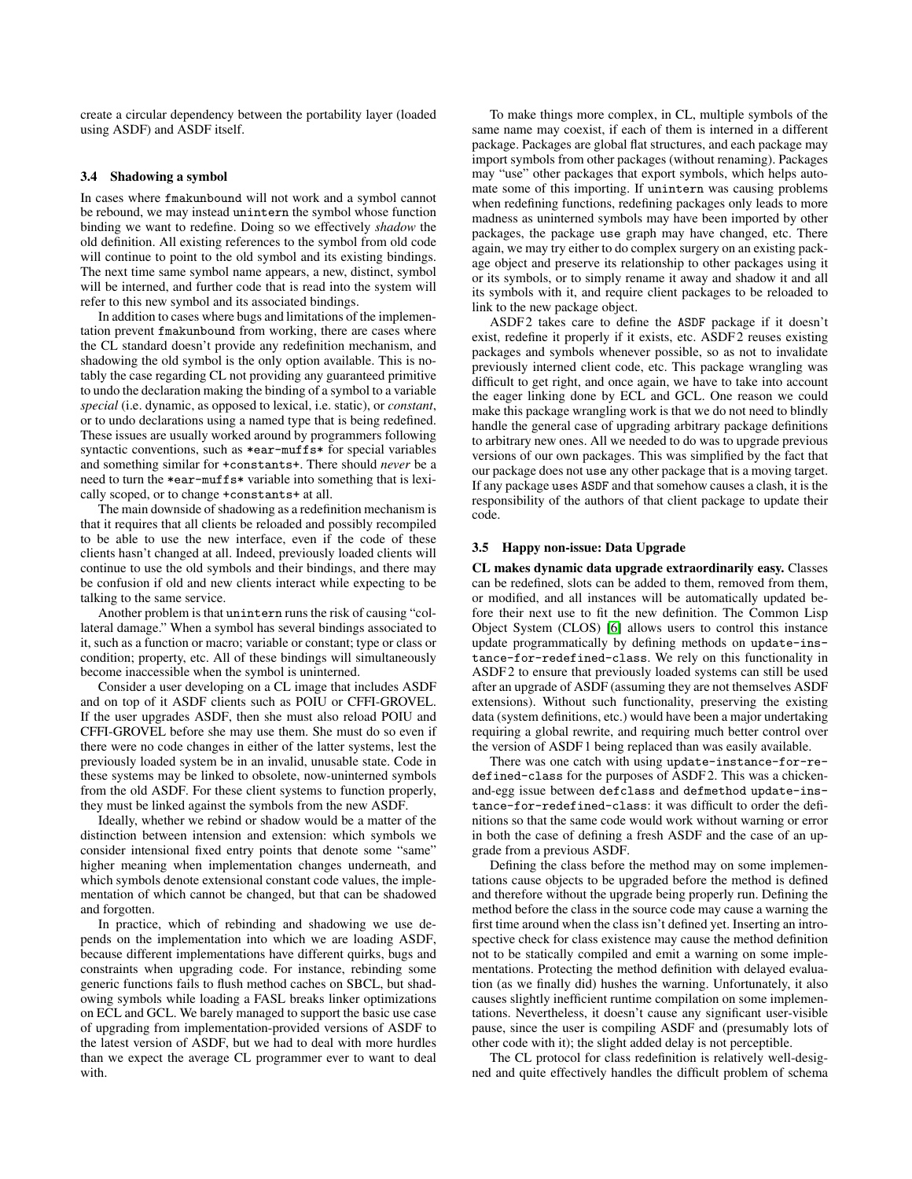create a circular dependency between the portability layer (loaded using ASDF) and ASDF itself.

#### 3.4 Shadowing a symbol

In cases where fmakunbound will not work and a symbol cannot be rebound, we may instead unintern the symbol whose function binding we want to redefine. Doing so we effectively *shadow* the old definition. All existing references to the symbol from old code will continue to point to the old symbol and its existing bindings. The next time same symbol name appears, a new, distinct, symbol will be interned, and further code that is read into the system will refer to this new symbol and its associated bindings.

In addition to cases where bugs and limitations of the implementation prevent fmakunbound from working, there are cases where the CL standard doesn't provide any redefinition mechanism, and shadowing the old symbol is the only option available. This is notably the case regarding CL not providing any guaranteed primitive to undo the declaration making the binding of a symbol to a variable *special* (i.e. dynamic, as opposed to lexical, i.e. static), or *constant*, or to undo declarations using a named type that is being redefined. These issues are usually worked around by programmers following syntactic conventions, such as \*ear-muffs\* for special variables and something similar for +constants+. There should *never* be a need to turn the \*ear-muffs\* variable into something that is lexically scoped, or to change +constants+ at all.

The main downside of shadowing as a redefinition mechanism is that it requires that all clients be reloaded and possibly recompiled to be able to use the new interface, even if the code of these clients hasn't changed at all. Indeed, previously loaded clients will continue to use the old symbols and their bindings, and there may be confusion if old and new clients interact while expecting to be talking to the same service.

Another problem is that unintern runs the risk of causing "collateral damage." When a symbol has several bindings associated to it, such as a function or macro; variable or constant; type or class or condition; property, etc. All of these bindings will simultaneously become inaccessible when the symbol is uninterned.

Consider a user developing on a CL image that includes ASDF and on top of it ASDF clients such as POIU or CFFI-GROVEL. If the user upgrades ASDF, then she must also reload POIU and CFFI-GROVEL before she may use them. She must do so even if there were no code changes in either of the latter systems, lest the previously loaded system be in an invalid, unusable state. Code in these systems may be linked to obsolete, now-uninterned symbols from the old ASDF. For these client systems to function properly, they must be linked against the symbols from the new ASDF.

Ideally, whether we rebind or shadow would be a matter of the distinction between intension and extension: which symbols we consider intensional fixed entry points that denote some "same" higher meaning when implementation changes underneath, and which symbols denote extensional constant code values, the implementation of which cannot be changed, but that can be shadowed and forgotten.

In practice, which of rebinding and shadowing we use depends on the implementation into which we are loading ASDF, because different implementations have different quirks, bugs and constraints when upgrading code. For instance, rebinding some generic functions fails to flush method caches on SBCL, but shadowing symbols while loading a FASL breaks linker optimizations on ECL and GCL. We barely managed to support the basic use case of upgrading from implementation-provided versions of ASDF to the latest version of ASDF, but we had to deal with more hurdles than we expect the average CL programmer ever to want to deal with.

To make things more complex, in CL, multiple symbols of the same name may coexist, if each of them is interned in a different package. Packages are global flat structures, and each package may import symbols from other packages (without renaming). Packages may "use" other packages that export symbols, which helps automate some of this importing. If unintern was causing problems when redefining functions, redefining packages only leads to more madness as uninterned symbols may have been imported by other packages, the package use graph may have changed, etc. There again, we may try either to do complex surgery on an existing package object and preserve its relationship to other packages using it or its symbols, or to simply rename it away and shadow it and all its symbols with it, and require client packages to be reloaded to link to the new package object.

ASDF2 takes care to define the ASDF package if it doesn't exist, redefine it properly if it exists, etc. ASDF 2 reuses existing packages and symbols whenever possible, so as not to invalidate previously interned client code, etc. This package wrangling was difficult to get right, and once again, we have to take into account the eager linking done by ECL and GCL. One reason we could make this package wrangling work is that we do not need to blindly handle the general case of upgrading arbitrary package definitions to arbitrary new ones. All we needed to do was to upgrade previous versions of our own packages. This was simplified by the fact that our package does not use any other package that is a moving target. If any package uses ASDF and that somehow causes a clash, it is the responsibility of the authors of that client package to update their code.

#### 3.5 Happy non-issue: Data Upgrade

CL makes dynamic data upgrade extraordinarily easy. Classes can be redefined, slots can be added to them, removed from them, or modified, and all instances will be automatically updated before their next use to fit the new definition. The Common Lisp Object System (CLOS) [\[6\]](#page-12-3) allows users to control this instance update programmatically by defining methods on update-instance-for-redefined-class. We rely on this functionality in ASDF 2 to ensure that previously loaded systems can still be used after an upgrade of ASDF (assuming they are not themselves ASDF extensions). Without such functionality, preserving the existing data (system definitions, etc.) would have been a major undertaking requiring a global rewrite, and requiring much better control over the version of ASDF 1 being replaced than was easily available.

There was one catch with using update-instance-for-redefined-class for the purposes of ASDF 2. This was a chickenand-egg issue between defclass and defmethod update-instance-for-redefined-class: it was difficult to order the definitions so that the same code would work without warning or error in both the case of defining a fresh ASDF and the case of an upgrade from a previous ASDF.

Defining the class before the method may on some implementations cause objects to be upgraded before the method is defined and therefore without the upgrade being properly run. Defining the method before the class in the source code may cause a warning the first time around when the class isn't defined yet. Inserting an introspective check for class existence may cause the method definition not to be statically compiled and emit a warning on some implementations. Protecting the method definition with delayed evaluation (as we finally did) hushes the warning. Unfortunately, it also causes slightly inefficient runtime compilation on some implementations. Nevertheless, it doesn't cause any significant user-visible pause, since the user is compiling ASDF and (presumably lots of other code with it); the slight added delay is not perceptible.

The CL protocol for class redefinition is relatively well-designed and quite effectively handles the difficult problem of schema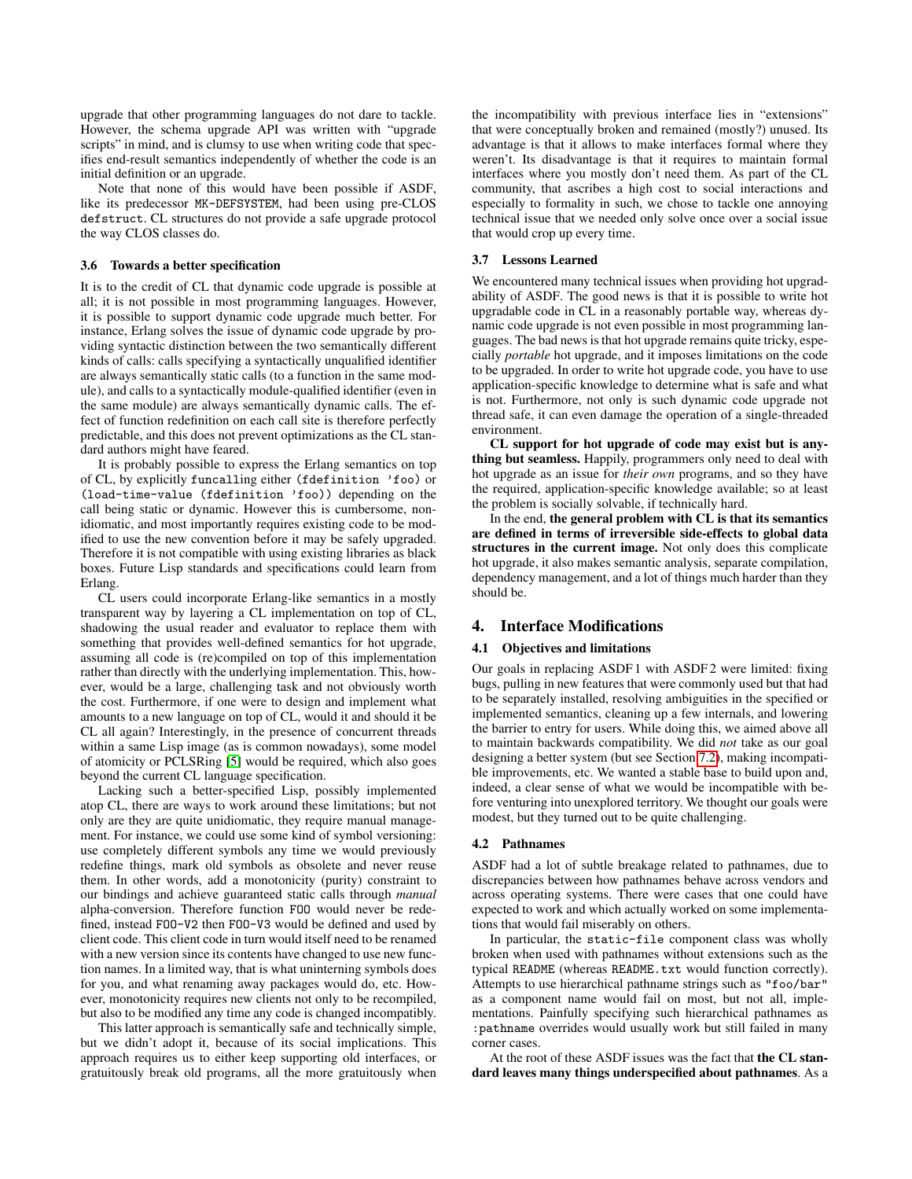upgrade that other programming languages do not dare to tackle. However, the schema upgrade API was written with "upgrade scripts" in mind, and is clumsy to use when writing code that specifies end-result semantics independently of whether the code is an initial definition or an upgrade.

Note that none of this would have been possible if ASDF, like its predecessor MK-DEFSYSTEM, had been using pre-CLOS defstruct. CL structures do not provide a safe upgrade protocol the way CLOS classes do.

#### 3.6 Towards a better specification

It is to the credit of CL that dynamic code upgrade is possible at all; it is not possible in most programming languages. However, it is possible to support dynamic code upgrade much better. For instance, Erlang solves the issue of dynamic code upgrade by providing syntactic distinction between the two semantically different kinds of calls: calls specifying a syntactically unqualified identifier are always semantically static calls (to a function in the same module), and calls to a syntactically module-qualified identifier (even in the same module) are always semantically dynamic calls. The effect of function redefinition on each call site is therefore perfectly predictable, and this does not prevent optimizations as the CL standard authors might have feared.

It is probably possible to express the Erlang semantics on top of CL, by explicitly funcalling either (fdefinition 'foo) or (load-time-value (fdefinition 'foo)) depending on the call being static or dynamic. However this is cumbersome, nonidiomatic, and most importantly requires existing code to be modified to use the new convention before it may be safely upgraded. Therefore it is not compatible with using existing libraries as black boxes. Future Lisp standards and specifications could learn from Erlang.

CL users could incorporate Erlang-like semantics in a mostly transparent way by layering a CL implementation on top of CL, shadowing the usual reader and evaluator to replace them with something that provides well-defined semantics for hot upgrade, assuming all code is (re)compiled on top of this implementation rather than directly with the underlying implementation. This, however, would be a large, challenging task and not obviously worth the cost. Furthermore, if one were to design and implement what amounts to a new language on top of CL, would it and should it be CL all again? Interestingly, in the presence of concurrent threads within a same Lisp image (as is common nowadays), some model of atomicity or PCLSRing [\[5\]](#page-12-4) would be required, which also goes beyond the current CL language specification.

Lacking such a better-specified Lisp, possibly implemented atop CL, there are ways to work around these limitations; but not only are they are quite unidiomatic, they require manual management. For instance, we could use some kind of symbol versioning: use completely different symbols any time we would previously redefine things, mark old symbols as obsolete and never reuse them. In other words, add a monotonicity (purity) constraint to our bindings and achieve guaranteed static calls through *manual* alpha-conversion. Therefore function FOO would never be redefined, instead FOO-V2 then FOO-V3 would be defined and used by client code. This client code in turn would itself need to be renamed with a new version since its contents have changed to use new function names. In a limited way, that is what uninterning symbols does for you, and what renaming away packages would do, etc. However, monotonicity requires new clients not only to be recompiled, but also to be modified any time any code is changed incompatibly.

This latter approach is semantically safe and technically simple, but we didn't adopt it, because of its social implications. This approach requires us to either keep supporting old interfaces, or gratuitously break old programs, all the more gratuitously when the incompatibility with previous interface lies in "extensions" that were conceptually broken and remained (mostly?) unused. Its advantage is that it allows to make interfaces formal where they weren't. Its disadvantage is that it requires to maintain formal interfaces where you mostly don't need them. As part of the CL community, that ascribes a high cost to social interactions and especially to formality in such, we chose to tackle one annoying technical issue that we needed only solve once over a social issue that would crop up every time.

# 3.7 Lessons Learned

We encountered many technical issues when providing hot upgradability of ASDF. The good news is that it is possible to write hot upgradable code in CL in a reasonably portable way, whereas dynamic code upgrade is not even possible in most programming languages. The bad news is that hot upgrade remains quite tricky, especially *portable* hot upgrade, and it imposes limitations on the code to be upgraded. In order to write hot upgrade code, you have to use application-specific knowledge to determine what is safe and what is not. Furthermore, not only is such dynamic code upgrade not thread safe, it can even damage the operation of a single-threaded environment.

CL support for hot upgrade of code may exist but is anything but seamless. Happily, programmers only need to deal with hot upgrade as an issue for *their own* programs, and so they have the required, application-specific knowledge available; so at least the problem is socially solvable, if technically hard.

In the end, the general problem with CL is that its semantics are defined in terms of irreversible side-effects to global data structures in the current image. Not only does this complicate hot upgrade, it also makes semantic analysis, separate compilation, dependency management, and a lot of things much harder than they should be.

#### 4. Interface Modifications

## 4.1 Objectives and limitations

Our goals in replacing ASDF 1 with ASDF 2 were limited: fixing bugs, pulling in new features that were commonly used but that had to be separately installed, resolving ambiguities in the specified or implemented semantics, cleaning up a few internals, and lowering the barrier to entry for users. While doing this, we aimed above all to maintain backwards compatibility. We did *not* take as our goal designing a better system (but see Section [7.2\)](#page-11-0), making incompatible improvements, etc. We wanted a stable base to build upon and, indeed, a clear sense of what we would be incompatible with before venturing into unexplored territory. We thought our goals were modest, but they turned out to be quite challenging.

#### <span id="page-5-0"></span>4.2 Pathnames

ASDF had a lot of subtle breakage related to pathnames, due to discrepancies between how pathnames behave across vendors and across operating systems. There were cases that one could have expected to work and which actually worked on some implementations that would fail miserably on others.

In particular, the static-file component class was wholly broken when used with pathnames without extensions such as the typical README (whereas README.txt would function correctly). Attempts to use hierarchical pathname strings such as "foo/bar" as a component name would fail on most, but not all, implementations. Painfully specifying such hierarchical pathnames as :pathname overrides would usually work but still failed in many corner cases.

At the root of these ASDF issues was the fact that the CL standard leaves many things underspecified about pathnames. As a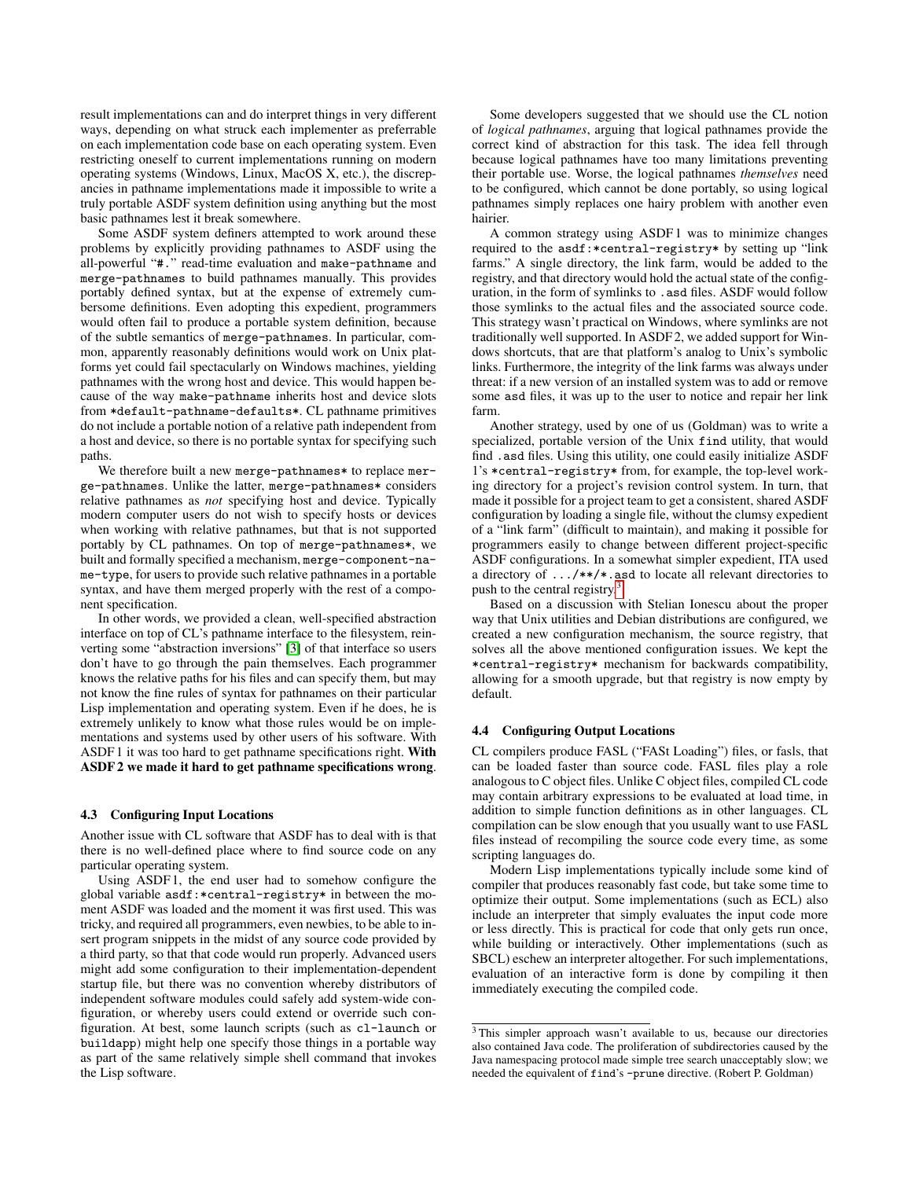result implementations can and do interpret things in very different ways, depending on what struck each implementer as preferrable on each implementation code base on each operating system. Even restricting oneself to current implementations running on modern operating systems (Windows, Linux, MacOS X, etc.), the discrepancies in pathname implementations made it impossible to write a truly portable ASDF system definition using anything but the most basic pathnames lest it break somewhere.

Some ASDF system definers attempted to work around these problems by explicitly providing pathnames to ASDF using the all-powerful "#." read-time evaluation and make-pathname and merge-pathnames to build pathnames manually. This provides portably defined syntax, but at the expense of extremely cumbersome definitions. Even adopting this expedient, programmers would often fail to produce a portable system definition, because of the subtle semantics of merge-pathnames. In particular, common, apparently reasonably definitions would work on Unix platforms yet could fail spectacularly on Windows machines, yielding pathnames with the wrong host and device. This would happen because of the way make-pathname inherits host and device slots from \*default-pathname-defaults\*. CL pathname primitives do not include a portable notion of a relative path independent from a host and device, so there is no portable syntax for specifying such paths.

We therefore built a new merge-pathnames\* to replace merge-pathnames. Unlike the latter, merge-pathnames\* considers relative pathnames as *not* specifying host and device. Typically modern computer users do not wish to specify hosts or devices when working with relative pathnames, but that is not supported portably by CL pathnames. On top of merge-pathnames\*, we built and formally specified a mechanism, merge-component-name-type, for users to provide such relative pathnames in a portable syntax, and have them merged properly with the rest of a component specification.

In other words, we provided a clean, well-specified abstraction interface on top of CL's pathname interface to the filesystem, reinverting some "abstraction inversions" [\[3\]](#page-12-5) of that interface so users don't have to go through the pain themselves. Each programmer knows the relative paths for his files and can specify them, but may not know the fine rules of syntax for pathnames on their particular Lisp implementation and operating system. Even if he does, he is extremely unlikely to know what those rules would be on implementations and systems used by other users of his software. With ASDF 1 it was too hard to get pathname specifications right. With ASDF 2 we made it hard to get pathname specifications wrong.

#### <span id="page-6-0"></span>4.3 Configuring Input Locations

Another issue with CL software that ASDF has to deal with is that there is no well-defined place where to find source code on any particular operating system.

Using ASDF 1, the end user had to somehow configure the global variable asdf:\*central-registry\* in between the moment ASDF was loaded and the moment it was first used. This was tricky, and required all programmers, even newbies, to be able to insert program snippets in the midst of any source code provided by a third party, so that that code would run properly. Advanced users might add some configuration to their implementation-dependent startup file, but there was no convention whereby distributors of independent software modules could safely add system-wide configuration, or whereby users could extend or override such configuration. At best, some launch scripts (such as cl-launch or buildapp) might help one specify those things in a portable way as part of the same relatively simple shell command that invokes the Lisp software.

Some developers suggested that we should use the CL notion of *logical pathnames*, arguing that logical pathnames provide the correct kind of abstraction for this task. The idea fell through because logical pathnames have too many limitations preventing their portable use. Worse, the logical pathnames *themselves* need to be configured, which cannot be done portably, so using logical pathnames simply replaces one hairy problem with another even hairier.

A common strategy using ASDF 1 was to minimize changes required to the asdf:\*central-registry\* by setting up "link farms." A single directory, the link farm, would be added to the registry, and that directory would hold the actual state of the configuration, in the form of symlinks to .asd files. ASDF would follow those symlinks to the actual files and the associated source code. This strategy wasn't practical on Windows, where symlinks are not traditionally well supported. In ASDF 2, we added support for Windows shortcuts, that are that platform's analog to Unix's symbolic links. Furthermore, the integrity of the link farms was always under threat: if a new version of an installed system was to add or remove some asd files, it was up to the user to notice and repair her link farm.

Another strategy, used by one of us (Goldman) was to write a specialized, portable version of the Unix find utility, that would find .asd files. Using this utility, one could easily initialize ASDF 1's \*central-registry\* from, for example, the top-level working directory for a project's revision control system. In turn, that made it possible for a project team to get a consistent, shared ASDF configuration by loading a single file, without the clumsy expedient of a "link farm" (difficult to maintain), and making it possible for programmers easily to change between different project-specific ASDF configurations. In a somewhat simpler expedient, ITA used a directory of .../\*\*/\*.asd to locate all relevant directories to push to the central registry.<sup>[3](#page-6-1)</sup>

Based on a discussion with Stelian Ionescu about the proper way that Unix utilities and Debian distributions are configured, we created a new configuration mechanism, the source registry, that solves all the above mentioned configuration issues. We kept the \*central-registry\* mechanism for backwards compatibility, allowing for a smooth upgrade, but that registry is now empty by default.

#### 4.4 Configuring Output Locations

CL compilers produce FASL ("FASt Loading") files, or fasls, that can be loaded faster than source code. FASL files play a role analogous to C object files. Unlike C object files, compiled CL code may contain arbitrary expressions to be evaluated at load time, in addition to simple function definitions as in other languages. CL compilation can be slow enough that you usually want to use FASL files instead of recompiling the source code every time, as some scripting languages do.

Modern Lisp implementations typically include some kind of compiler that produces reasonably fast code, but take some time to optimize their output. Some implementations (such as ECL) also include an interpreter that simply evaluates the input code more or less directly. This is practical for code that only gets run once, while building or interactively. Other implementations (such as SBCL) eschew an interpreter altogether. For such implementations, evaluation of an interactive form is done by compiling it then immediately executing the compiled code.

<span id="page-6-1"></span><sup>&</sup>lt;sup>3</sup>This simpler approach wasn't available to us, because our directories also contained Java code. The proliferation of subdirectories caused by the Java namespacing protocol made simple tree search unacceptably slow; we needed the equivalent of find's -prune directive. (Robert P. Goldman)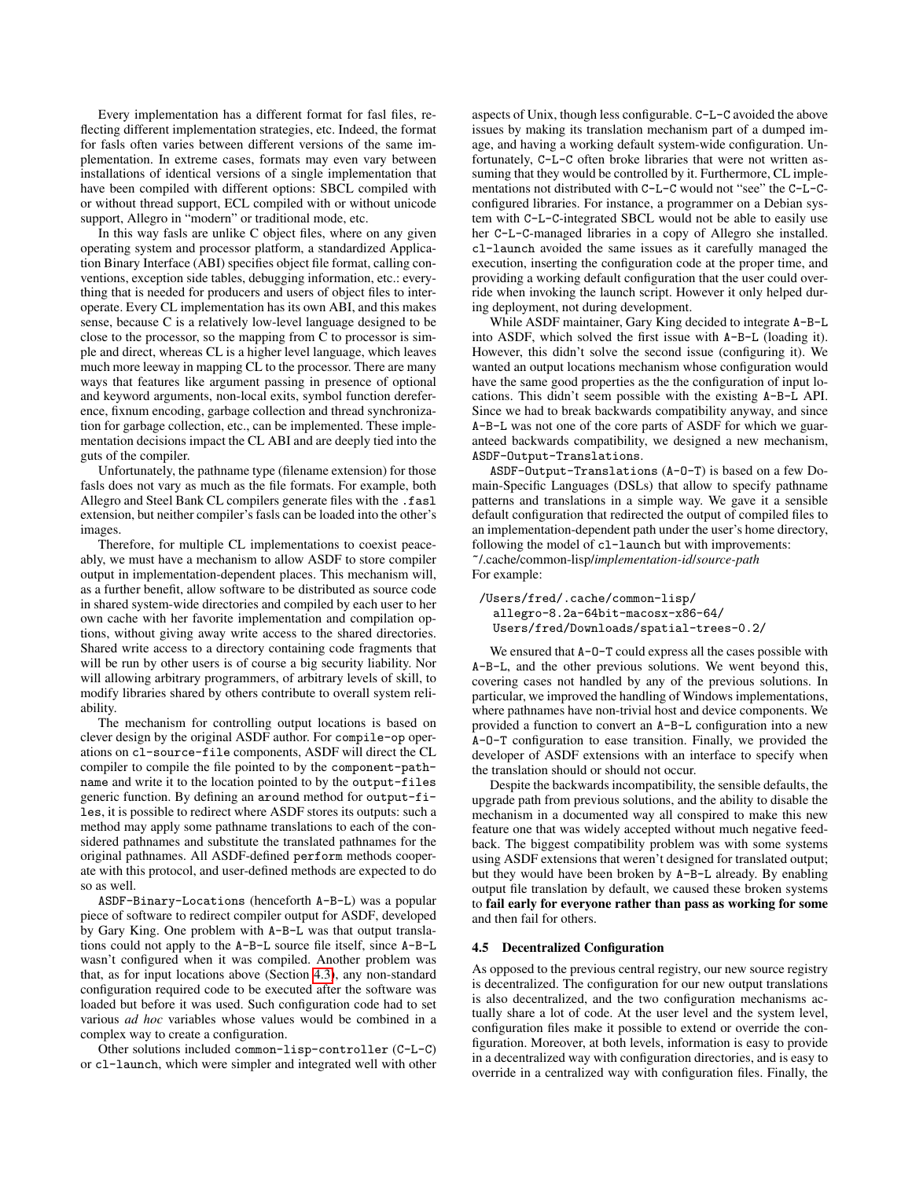Every implementation has a different format for fasl files, reflecting different implementation strategies, etc. Indeed, the format for fasls often varies between different versions of the same implementation. In extreme cases, formats may even vary between installations of identical versions of a single implementation that have been compiled with different options: SBCL compiled with or without thread support, ECL compiled with or without unicode support, Allegro in "modern" or traditional mode, etc.

In this way fasls are unlike C object files, where on any given operating system and processor platform, a standardized Application Binary Interface (ABI) specifies object file format, calling conventions, exception side tables, debugging information, etc.: everything that is needed for producers and users of object files to interoperate. Every CL implementation has its own ABI, and this makes sense, because C is a relatively low-level language designed to be close to the processor, so the mapping from C to processor is simple and direct, whereas CL is a higher level language, which leaves much more leeway in mapping CL to the processor. There are many ways that features like argument passing in presence of optional and keyword arguments, non-local exits, symbol function dereference, fixnum encoding, garbage collection and thread synchronization for garbage collection, etc., can be implemented. These implementation decisions impact the CL ABI and are deeply tied into the guts of the compiler.

Unfortunately, the pathname type (filename extension) for those fasls does not vary as much as the file formats. For example, both Allegro and Steel Bank CL compilers generate files with the .fasl extension, but neither compiler's fasls can be loaded into the other's images.

Therefore, for multiple CL implementations to coexist peaceably, we must have a mechanism to allow ASDF to store compiler output in implementation-dependent places. This mechanism will, as a further benefit, allow software to be distributed as source code in shared system-wide directories and compiled by each user to her own cache with her favorite implementation and compilation options, without giving away write access to the shared directories. Shared write access to a directory containing code fragments that will be run by other users is of course a big security liability. Nor will allowing arbitrary programmers, of arbitrary levels of skill, to modify libraries shared by others contribute to overall system reliability.

The mechanism for controlling output locations is based on clever design by the original ASDF author. For compile-op operations on cl-source-file components, ASDF will direct the CL compiler to compile the file pointed to by the component-pathname and write it to the location pointed to by the output-files generic function. By defining an around method for output-files, it is possible to redirect where ASDF stores its outputs: such a method may apply some pathname translations to each of the considered pathnames and substitute the translated pathnames for the original pathnames. All ASDF-defined perform methods cooperate with this protocol, and user-defined methods are expected to do so as well.

ASDF-Binary-Locations (henceforth A-B-L) was a popular piece of software to redirect compiler output for ASDF, developed by Gary King. One problem with A-B-L was that output translations could not apply to the A-B-L source file itself, since A-B-L wasn't configured when it was compiled. Another problem was that, as for input locations above (Section [4.3\)](#page-6-0), any non-standard configuration required code to be executed after the software was loaded but before it was used. Such configuration code had to set various *ad hoc* variables whose values would be combined in a complex way to create a configuration.

Other solutions included common-lisp-controller (C-L-C) or cl-launch, which were simpler and integrated well with other

aspects of Unix, though less configurable. C-L-C avoided the above issues by making its translation mechanism part of a dumped image, and having a working default system-wide configuration. Unfortunately, C-L-C often broke libraries that were not written assuming that they would be controlled by it. Furthermore, CL implementations not distributed with C-L-C would not "see" the C-L-Cconfigured libraries. For instance, a programmer on a Debian system with C-L-C-integrated SBCL would not be able to easily use her C-L-C-managed libraries in a copy of Allegro she installed. cl-launch avoided the same issues as it carefully managed the execution, inserting the configuration code at the proper time, and providing a working default configuration that the user could override when invoking the launch script. However it only helped during deployment, not during development.

While ASDF maintainer, Gary King decided to integrate A-B-L into ASDF, which solved the first issue with A-B-L (loading it). However, this didn't solve the second issue (configuring it). We wanted an output locations mechanism whose configuration would have the same good properties as the the configuration of input locations. This didn't seem possible with the existing A-B-L API. Since we had to break backwards compatibility anyway, and since A-B-L was not one of the core parts of ASDF for which we guaranteed backwards compatibility, we designed a new mechanism, ASDF-Output-Translations.

ASDF-Output-Translations (A-O-T) is based on a few Domain-Specific Languages (DSLs) that allow to specify pathname patterns and translations in a simple way. We gave it a sensible default configuration that redirected the output of compiled files to an implementation-dependent path under the user's home directory, following the model of c1-launch but with improvements: ~/.cache/common-lisp/*implementation-id*/*source-path* For example:

```
/Users/fred/.cache/common-lisp/
 allegro-8.2a-64bit-macosx-x86-64/
 Users/fred/Downloads/spatial-trees-0.2/
```
We ensured that  $A - D - T$  could express all the cases possible with A-B-L, and the other previous solutions. We went beyond this, covering cases not handled by any of the previous solutions. In particular, we improved the handling of Windows implementations, where pathnames have non-trivial host and device components. We provided a function to convert an A-B-L configuration into a new A-O-T configuration to ease transition. Finally, we provided the developer of ASDF extensions with an interface to specify when the translation should or should not occur.

Despite the backwards incompatibility, the sensible defaults, the upgrade path from previous solutions, and the ability to disable the mechanism in a documented way all conspired to make this new feature one that was widely accepted without much negative feedback. The biggest compatibility problem was with some systems using ASDF extensions that weren't designed for translated output; but they would have been broken by A-B-L already. By enabling output file translation by default, we caused these broken systems to fail early for everyone rather than pass as working for some and then fail for others.

## 4.5 Decentralized Configuration

As opposed to the previous central registry, our new source registry is decentralized. The configuration for our new output translations is also decentralized, and the two configuration mechanisms actually share a lot of code. At the user level and the system level, configuration files make it possible to extend or override the configuration. Moreover, at both levels, information is easy to provide in a decentralized way with configuration directories, and is easy to override in a centralized way with configuration files. Finally, the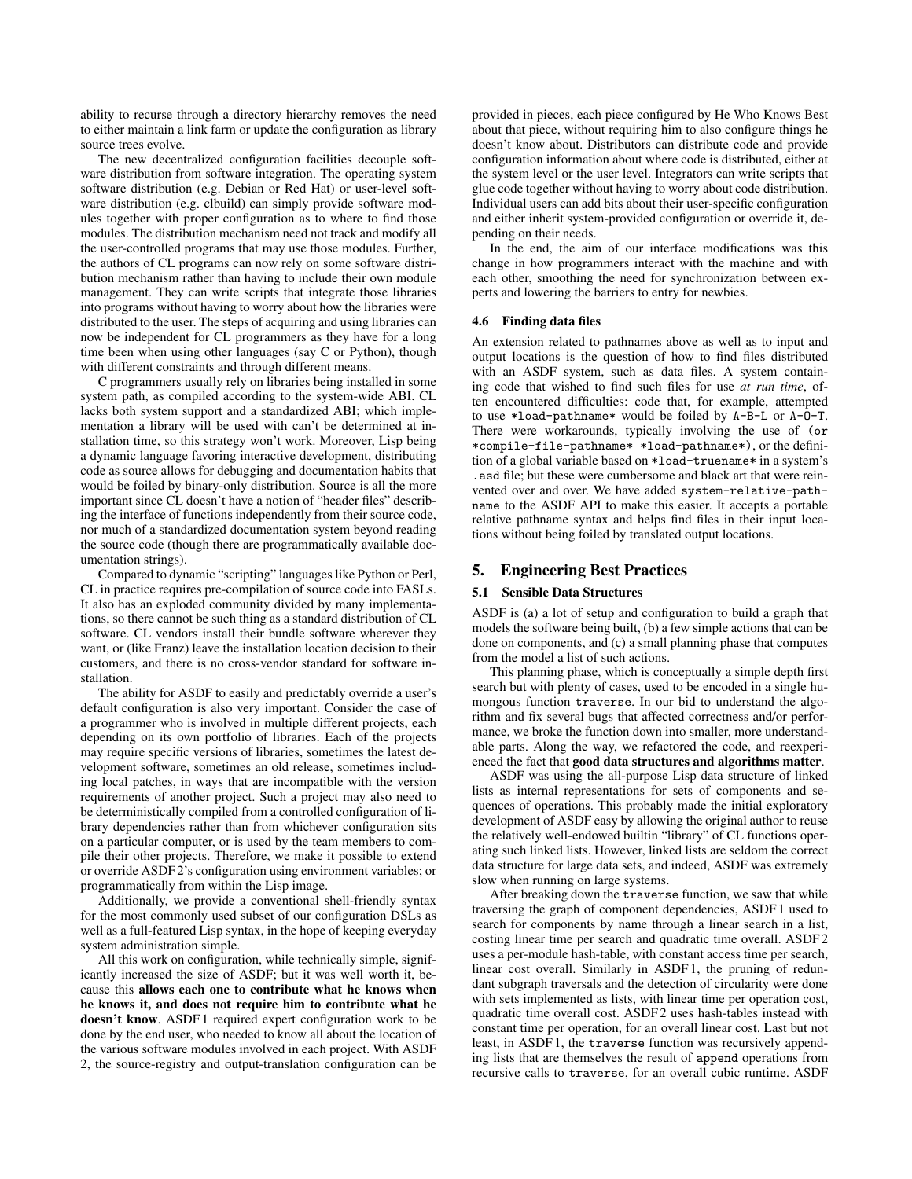ability to recurse through a directory hierarchy removes the need to either maintain a link farm or update the configuration as library source trees evolve.

The new decentralized configuration facilities decouple software distribution from software integration. The operating system software distribution (e.g. Debian or Red Hat) or user-level software distribution (e.g. clbuild) can simply provide software modules together with proper configuration as to where to find those modules. The distribution mechanism need not track and modify all the user-controlled programs that may use those modules. Further, the authors of CL programs can now rely on some software distribution mechanism rather than having to include their own module management. They can write scripts that integrate those libraries into programs without having to worry about how the libraries were distributed to the user. The steps of acquiring and using libraries can now be independent for CL programmers as they have for a long time been when using other languages (say C or Python), though with different constraints and through different means.

C programmers usually rely on libraries being installed in some system path, as compiled according to the system-wide ABI. CL lacks both system support and a standardized ABI; which implementation a library will be used with can't be determined at installation time, so this strategy won't work. Moreover, Lisp being a dynamic language favoring interactive development, distributing code as source allows for debugging and documentation habits that would be foiled by binary-only distribution. Source is all the more important since CL doesn't have a notion of "header files" describing the interface of functions independently from their source code, nor much of a standardized documentation system beyond reading the source code (though there are programmatically available documentation strings).

Compared to dynamic "scripting" languages like Python or Perl, CL in practice requires pre-compilation of source code into FASLs. It also has an exploded community divided by many implementations, so there cannot be such thing as a standard distribution of CL software. CL vendors install their bundle software wherever they want, or (like Franz) leave the installation location decision to their customers, and there is no cross-vendor standard for software installation.

The ability for ASDF to easily and predictably override a user's default configuration is also very important. Consider the case of a programmer who is involved in multiple different projects, each depending on its own portfolio of libraries. Each of the projects may require specific versions of libraries, sometimes the latest development software, sometimes an old release, sometimes including local patches, in ways that are incompatible with the version requirements of another project. Such a project may also need to be deterministically compiled from a controlled configuration of library dependencies rather than from whichever configuration sits on a particular computer, or is used by the team members to compile their other projects. Therefore, we make it possible to extend or override ASDF 2's configuration using environment variables; or programmatically from within the Lisp image.

Additionally, we provide a conventional shell-friendly syntax for the most commonly used subset of our configuration DSLs as well as a full-featured Lisp syntax, in the hope of keeping everyday system administration simple.

All this work on configuration, while technically simple, significantly increased the size of ASDF; but it was well worth it, because this allows each one to contribute what he knows when he knows it, and does not require him to contribute what he doesn't know. ASDF 1 required expert configuration work to be done by the end user, who needed to know all about the location of the various software modules involved in each project. With ASDF 2, the source-registry and output-translation configuration can be

provided in pieces, each piece configured by He Who Knows Best about that piece, without requiring him to also configure things he doesn't know about. Distributors can distribute code and provide configuration information about where code is distributed, either at the system level or the user level. Integrators can write scripts that glue code together without having to worry about code distribution. Individual users can add bits about their user-specific configuration and either inherit system-provided configuration or override it, depending on their needs.

In the end, the aim of our interface modifications was this change in how programmers interact with the machine and with each other, smoothing the need for synchronization between experts and lowering the barriers to entry for newbies.

#### 4.6 Finding data files

An extension related to pathnames above as well as to input and output locations is the question of how to find files distributed with an ASDF system, such as data files. A system containing code that wished to find such files for use *at run time*, often encountered difficulties: code that, for example, attempted to use \*load-pathname\* would be foiled by A-B-L or A-O-T. There were workarounds, typically involving the use of (or \*compile-file-pathname\* \*load-pathname\*), or the definition of a global variable based on \*load-truename\* in a system's .asd file; but these were cumbersome and black art that were reinvented over and over. We have added system-relative-pathname to the ASDF API to make this easier. It accepts a portable relative pathname syntax and helps find files in their input locations without being foiled by translated output locations.

## 5. Engineering Best Practices

#### 5.1 Sensible Data Structures

ASDF is (a) a lot of setup and configuration to build a graph that models the software being built, (b) a few simple actions that can be done on components, and (c) a small planning phase that computes from the model a list of such actions.

This planning phase, which is conceptually a simple depth first search but with plenty of cases, used to be encoded in a single humongous function traverse. In our bid to understand the algorithm and fix several bugs that affected correctness and/or performance, we broke the function down into smaller, more understandable parts. Along the way, we refactored the code, and reexperienced the fact that good data structures and algorithms matter.

ASDF was using the all-purpose Lisp data structure of linked lists as internal representations for sets of components and sequences of operations. This probably made the initial exploratory development of ASDF easy by allowing the original author to reuse the relatively well-endowed builtin "library" of CL functions operating such linked lists. However, linked lists are seldom the correct data structure for large data sets, and indeed, ASDF was extremely slow when running on large systems.

After breaking down the traverse function, we saw that while traversing the graph of component dependencies, ASDF 1 used to search for components by name through a linear search in a list, costing linear time per search and quadratic time overall. ASDF 2 uses a per-module hash-table, with constant access time per search, linear cost overall. Similarly in ASDF 1, the pruning of redundant subgraph traversals and the detection of circularity were done with sets implemented as lists, with linear time per operation cost, quadratic time overall cost. ASDF 2 uses hash-tables instead with constant time per operation, for an overall linear cost. Last but not least, in ASDF 1, the traverse function was recursively appending lists that are themselves the result of append operations from recursive calls to traverse, for an overall cubic runtime. ASDF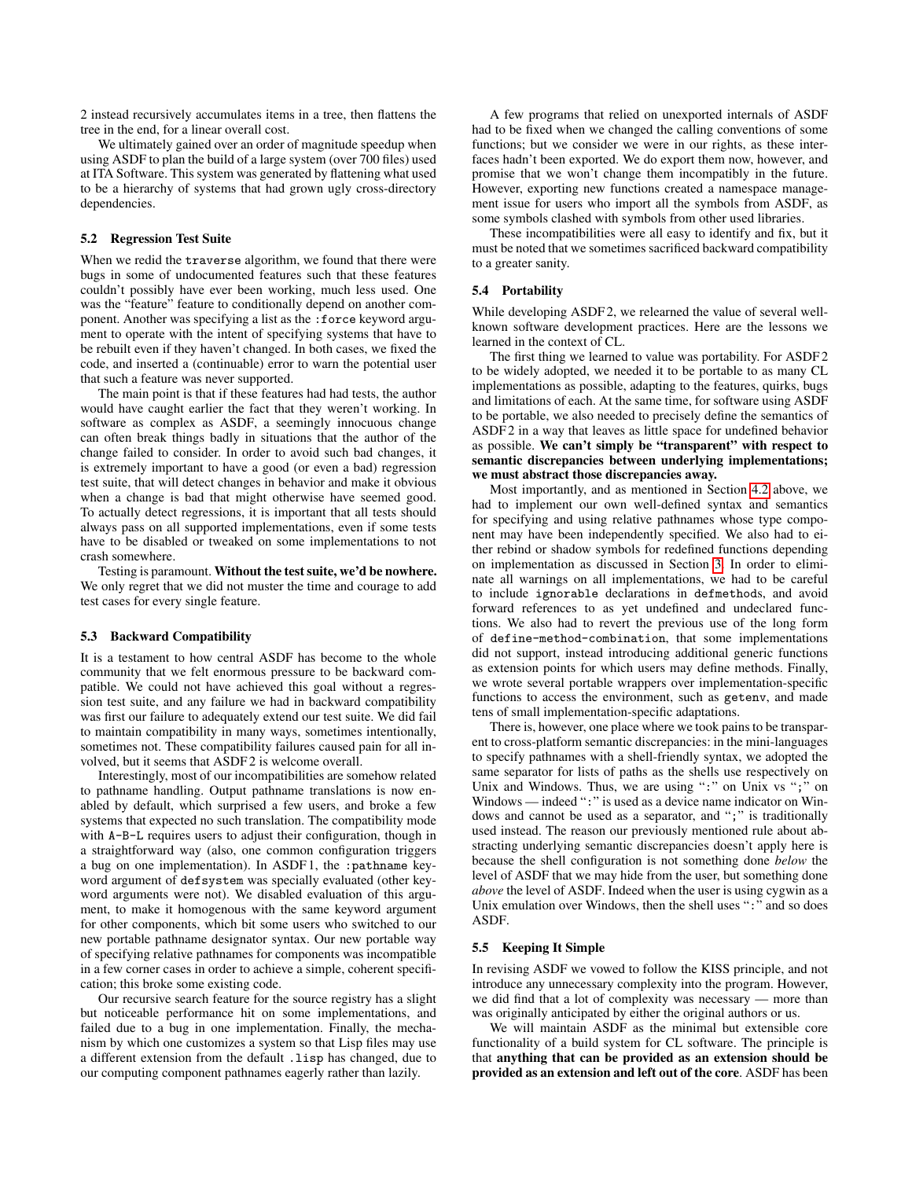2 instead recursively accumulates items in a tree, then flattens the tree in the end, for a linear overall cost.

We ultimately gained over an order of magnitude speedup when using ASDF to plan the build of a large system (over 700 files) used at ITA Software. This system was generated by flattening what used to be a hierarchy of systems that had grown ugly cross-directory dependencies.

#### 5.2 Regression Test Suite

When we redid the traverse algorithm, we found that there were bugs in some of undocumented features such that these features couldn't possibly have ever been working, much less used. One was the "feature" feature to conditionally depend on another component. Another was specifying a list as the :force keyword argument to operate with the intent of specifying systems that have to be rebuilt even if they haven't changed. In both cases, we fixed the code, and inserted a (continuable) error to warn the potential user that such a feature was never supported.

The main point is that if these features had had tests, the author would have caught earlier the fact that they weren't working. In software as complex as ASDF, a seemingly innocuous change can often break things badly in situations that the author of the change failed to consider. In order to avoid such bad changes, it is extremely important to have a good (or even a bad) regression test suite, that will detect changes in behavior and make it obvious when a change is bad that might otherwise have seemed good. To actually detect regressions, it is important that all tests should always pass on all supported implementations, even if some tests have to be disabled or tweaked on some implementations to not crash somewhere.

Testing is paramount. Without the test suite, we'd be nowhere. We only regret that we did not muster the time and courage to add test cases for every single feature.

#### 5.3 Backward Compatibility

It is a testament to how central ASDF has become to the whole community that we felt enormous pressure to be backward compatible. We could not have achieved this goal without a regression test suite, and any failure we had in backward compatibility was first our failure to adequately extend our test suite. We did fail to maintain compatibility in many ways, sometimes intentionally, sometimes not. These compatibility failures caused pain for all involved, but it seems that ASDF 2 is welcome overall.

Interestingly, most of our incompatibilities are somehow related to pathname handling. Output pathname translations is now enabled by default, which surprised a few users, and broke a few systems that expected no such translation. The compatibility mode with A-B-L requires users to adjust their configuration, though in a straightforward way (also, one common configuration triggers a bug on one implementation). In ASDF 1, the :pathname keyword argument of defsystem was specially evaluated (other keyword arguments were not). We disabled evaluation of this argument, to make it homogenous with the same keyword argument for other components, which bit some users who switched to our new portable pathname designator syntax. Our new portable way of specifying relative pathnames for components was incompatible in a few corner cases in order to achieve a simple, coherent specification; this broke some existing code.

Our recursive search feature for the source registry has a slight but noticeable performance hit on some implementations, and failed due to a bug in one implementation. Finally, the mechanism by which one customizes a system so that Lisp files may use a different extension from the default .lisp has changed, due to our computing component pathnames eagerly rather than lazily.

A few programs that relied on unexported internals of ASDF had to be fixed when we changed the calling conventions of some functions; but we consider we were in our rights, as these interfaces hadn't been exported. We do export them now, however, and promise that we won't change them incompatibly in the future. However, exporting new functions created a namespace management issue for users who import all the symbols from ASDF, as some symbols clashed with symbols from other used libraries.

These incompatibilities were all easy to identify and fix, but it must be noted that we sometimes sacrificed backward compatibility to a greater sanity.

## 5.4 Portability

While developing ASDF 2, we relearned the value of several wellknown software development practices. Here are the lessons we learned in the context of CL.

The first thing we learned to value was portability. For ASDF 2 to be widely adopted, we needed it to be portable to as many CL implementations as possible, adapting to the features, quirks, bugs and limitations of each. At the same time, for software using ASDF to be portable, we also needed to precisely define the semantics of ASDF 2 in a way that leaves as little space for undefined behavior as possible. We can't simply be "transparent" with respect to semantic discrepancies between underlying implementations; we must abstract those discrepancies away.

Most importantly, and as mentioned in Section [4.2](#page-5-0) above, we had to implement our own well-defined syntax and semantics for specifying and using relative pathnames whose type component may have been independently specified. We also had to either rebind or shadow symbols for redefined functions depending on implementation as discussed in Section [3.](#page-2-2) In order to eliminate all warnings on all implementations, we had to be careful to include ignorable declarations in defmethods, and avoid forward references to as yet undefined and undeclared functions. We also had to revert the previous use of the long form of define-method-combination, that some implementations did not support, instead introducing additional generic functions as extension points for which users may define methods. Finally, we wrote several portable wrappers over implementation-specific functions to access the environment, such as getenv, and made tens of small implementation-specific adaptations.

There is, however, one place where we took pains to be transparent to cross-platform semantic discrepancies: in the mini-languages to specify pathnames with a shell-friendly syntax, we adopted the same separator for lists of paths as the shells use respectively on Unix and Windows. Thus, we are using ":" on Unix vs ";" on Windows — indeed ":" is used as a device name indicator on Windows and cannot be used as a separator, and ";" is traditionally used instead. The reason our previously mentioned rule about abstracting underlying semantic discrepancies doesn't apply here is because the shell configuration is not something done *below* the level of ASDF that we may hide from the user, but something done *above* the level of ASDF. Indeed when the user is using cygwin as a Unix emulation over Windows, then the shell uses ":" and so does ASDF.

#### <span id="page-9-0"></span>5.5 Keeping It Simple

In revising ASDF we vowed to follow the KISS principle, and not introduce any unnecessary complexity into the program. However, we did find that a lot of complexity was necessary — more than was originally anticipated by either the original authors or us.

We will maintain ASDF as the minimal but extensible core functionality of a build system for CL software. The principle is that anything that can be provided as an extension should be provided as an extension and left out of the core. ASDF has been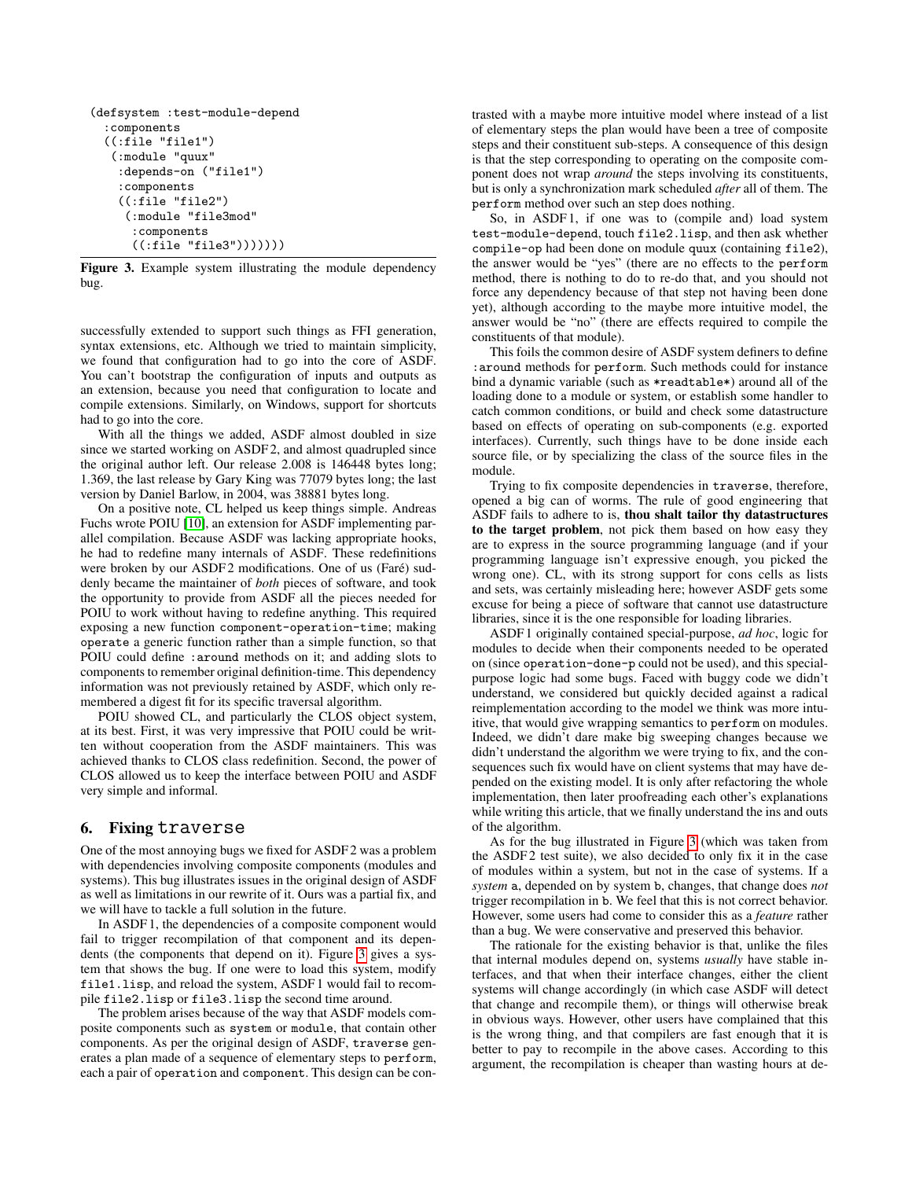```
(defsystem :test-module-depend
 :components
 ((:file "file1")
   (:module "quux"
    :depends-on ("file1")
    :components
    ((:file "file2")
     (:module "file3mod"
      :components
      ((:file "file3")))))))
```
<span id="page-10-1"></span>Figure 3. Example system illustrating the module dependency bug.

successfully extended to support such things as FFI generation, syntax extensions, etc. Although we tried to maintain simplicity, we found that configuration had to go into the core of ASDF. You can't bootstrap the configuration of inputs and outputs as an extension, because you need that configuration to locate and compile extensions. Similarly, on Windows, support for shortcuts had to go into the core.

With all the things we added, ASDF almost doubled in size since we started working on ASDF 2, and almost quadrupled since the original author left. Our release 2.008 is 146448 bytes long; 1.369, the last release by Gary King was 77079 bytes long; the last version by Daniel Barlow, in 2004, was 38881 bytes long.

On a positive note, CL helped us keep things simple. Andreas Fuchs wrote POIU [\[10\]](#page-13-5), an extension for ASDF implementing parallel compilation. Because ASDF was lacking appropriate hooks, he had to redefine many internals of ASDF. These redefinitions were broken by our ASDF2 modifications. One of us (Faré) suddenly became the maintainer of *both* pieces of software, and took the opportunity to provide from ASDF all the pieces needed for POIU to work without having to redefine anything. This required exposing a new function component-operation-time; making operate a generic function rather than a simple function, so that POIU could define :around methods on it; and adding slots to components to remember original definition-time. This dependency information was not previously retained by ASDF, which only remembered a digest fit for its specific traversal algorithm.

POIU showed CL, and particularly the CLOS object system, at its best. First, it was very impressive that POIU could be written without cooperation from the ASDF maintainers. This was achieved thanks to CLOS class redefinition. Second, the power of CLOS allowed us to keep the interface between POIU and ASDF very simple and informal.

# <span id="page-10-0"></span>6. Fixing traverse

One of the most annoying bugs we fixed for ASDF 2 was a problem with dependencies involving composite components (modules and systems). This bug illustrates issues in the original design of ASDF as well as limitations in our rewrite of it. Ours was a partial fix, and we will have to tackle a full solution in the future.

In ASDF 1, the dependencies of a composite component would fail to trigger recompilation of that component and its dependents (the components that depend on it). Figure [3](#page-10-1) gives a system that shows the bug. If one were to load this system, modify file1.lisp, and reload the system, ASDF 1 would fail to recompile file2.lisp or file3.lisp the second time around.

The problem arises because of the way that ASDF models composite components such as system or module, that contain other components. As per the original design of ASDF, traverse generates a plan made of a sequence of elementary steps to perform, each a pair of operation and component. This design can be contrasted with a maybe more intuitive model where instead of a list of elementary steps the plan would have been a tree of composite steps and their constituent sub-steps. A consequence of this design is that the step corresponding to operating on the composite component does not wrap *around* the steps involving its constituents, but is only a synchronization mark scheduled *after* all of them. The perform method over such an step does nothing.

So, in ASDF 1, if one was to (compile and) load system test-module-depend, touch file2.lisp, and then ask whether compile-op had been done on module quux (containing file2), the answer would be "yes" (there are no effects to the perform method, there is nothing to do to re-do that, and you should not force any dependency because of that step not having been done yet), although according to the maybe more intuitive model, the answer would be "no" (there are effects required to compile the constituents of that module).

This foils the common desire of ASDF system definers to define :around methods for perform. Such methods could for instance bind a dynamic variable (such as \*readtable\*) around all of the loading done to a module or system, or establish some handler to catch common conditions, or build and check some datastructure based on effects of operating on sub-components (e.g. exported interfaces). Currently, such things have to be done inside each source file, or by specializing the class of the source files in the module.

Trying to fix composite dependencies in traverse, therefore, opened a big can of worms. The rule of good engineering that ASDF fails to adhere to is, thou shalt tailor thy datastructures to the target problem, not pick them based on how easy they are to express in the source programming language (and if your programming language isn't expressive enough, you picked the wrong one). CL, with its strong support for cons cells as lists and sets, was certainly misleading here; however ASDF gets some excuse for being a piece of software that cannot use datastructure libraries, since it is the one responsible for loading libraries.

ASDF 1 originally contained special-purpose, *ad hoc*, logic for modules to decide when their components needed to be operated on (since operation-done-p could not be used), and this specialpurpose logic had some bugs. Faced with buggy code we didn't understand, we considered but quickly decided against a radical reimplementation according to the model we think was more intuitive, that would give wrapping semantics to perform on modules. Indeed, we didn't dare make big sweeping changes because we didn't understand the algorithm we were trying to fix, and the consequences such fix would have on client systems that may have depended on the existing model. It is only after refactoring the whole implementation, then later proofreading each other's explanations while writing this article, that we finally understand the ins and outs of the algorithm.

As for the bug illustrated in Figure [3](#page-10-1) (which was taken from the ASDF 2 test suite), we also decided to only fix it in the case of modules within a system, but not in the case of systems. If a *system* a, depended on by system b, changes, that change does *not* trigger recompilation in b. We feel that this is not correct behavior. However, some users had come to consider this as a *feature* rather than a bug. We were conservative and preserved this behavior.

The rationale for the existing behavior is that, unlike the files that internal modules depend on, systems *usually* have stable interfaces, and that when their interface changes, either the client systems will change accordingly (in which case ASDF will detect that change and recompile them), or things will otherwise break in obvious ways. However, other users have complained that this is the wrong thing, and that compilers are fast enough that it is better to pay to recompile in the above cases. According to this argument, the recompilation is cheaper than wasting hours at de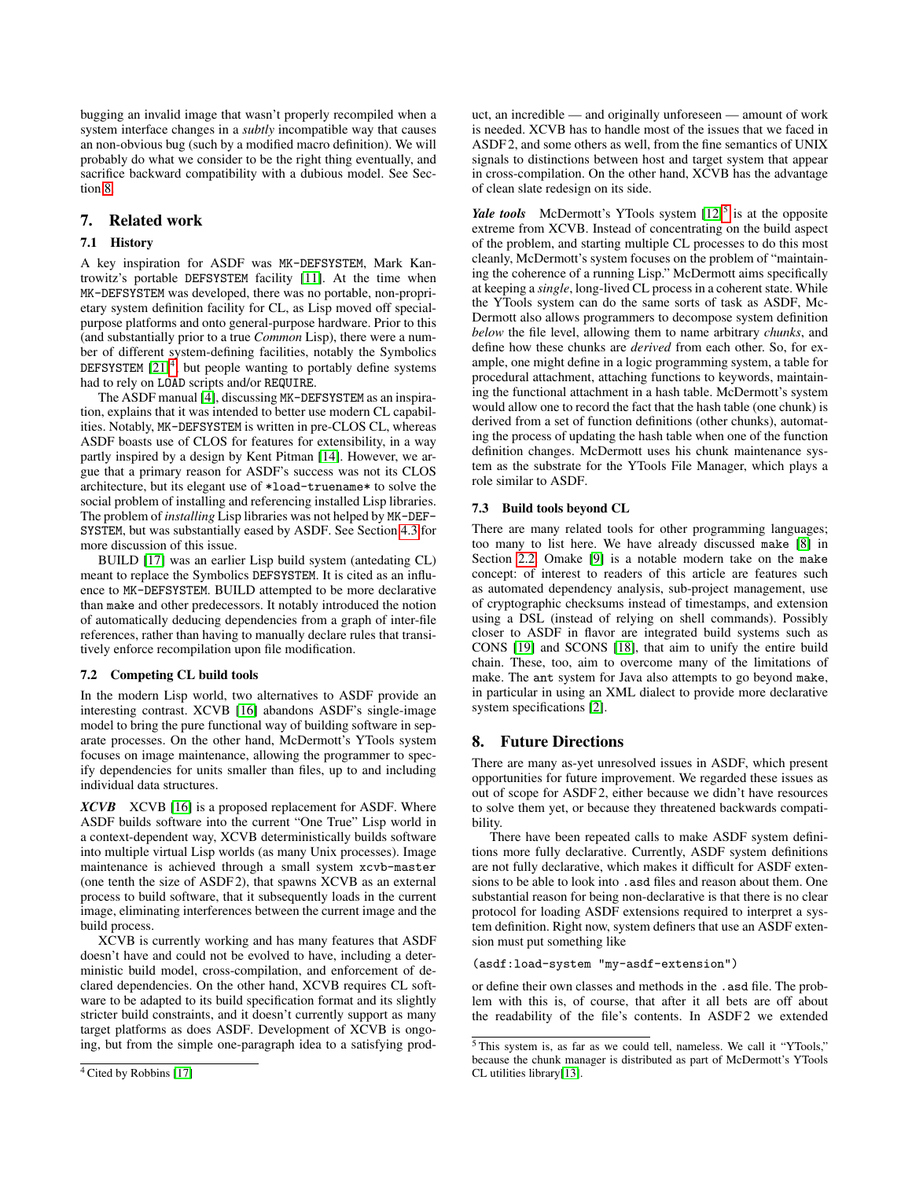bugging an invalid image that wasn't properly recompiled when a system interface changes in a *subtly* incompatible way that causes an non-obvious bug (such by a modified macro definition). We will probably do what we consider to be the right thing eventually, and sacrifice backward compatibility with a dubious model. See Section [8.](#page-11-1)

# 7. Related work

# 7.1 History

A key inspiration for ASDF was MK-DEFSYSTEM, Mark Kantrowitz's portable DEFSYSTEM facility [\[11\]](#page-13-6). At the time when MK-DEFSYSTEM was developed, there was no portable, non-proprietary system definition facility for CL, as Lisp moved off specialpurpose platforms and onto general-purpose hardware. Prior to this (and substantially prior to a true *Common* Lisp), there were a number of different system-defining facilities, notably the Symbolics DEFSYSTEM  $[21]^{4}$  $[21]^{4}$  $[21]^{4}$  $[21]^{4}$ , but people wanting to portably define systems had to rely on LOAD scripts and/or REQUIRE.

The ASDF manual [\[4\]](#page-12-0), discussing MK-DEFSYSTEM as an inspiration, explains that it was intended to better use modern CL capabilities. Notably, MK-DEFSYSTEM is written in pre-CLOS CL, whereas ASDF boasts use of CLOS for features for extensibility, in a way partly inspired by a design by Kent Pitman [\[14\]](#page-13-8). However, we argue that a primary reason for ASDF's success was not its CLOS architecture, but its elegant use of \*load-truename\* to solve the social problem of installing and referencing installed Lisp libraries. The problem of *installing* Lisp libraries was not helped by MK-DEF-SYSTEM, but was substantially eased by ASDF. See Section [4.3](#page-6-0) for more discussion of this issue.

BUILD [\[17\]](#page-13-3) was an earlier Lisp build system (antedating CL) meant to replace the Symbolics DEFSYSTEM. It is cited as an influence to MK-DEFSYSTEM. BUILD attempted to be more declarative than make and other predecessors. It notably introduced the notion of automatically deducing dependencies from a graph of inter-file references, rather than having to manually declare rules that transitively enforce recompilation upon file modification.

# 7.2 Competing CL build tools

In the modern Lisp world, two alternatives to ASDF provide an interesting contrast. XCVB [\[16\]](#page-13-9) abandons ASDF's single-image model to bring the pure functional way of building software in separate processes. On the other hand, McDermott's YTools system focuses on image maintenance, allowing the programmer to specify dependencies for units smaller than files, up to and including individual data structures.

<span id="page-11-0"></span>*XCVB* XCVB [\[16\]](#page-13-9) is a proposed replacement for ASDF. Where ASDF builds software into the current "One True" Lisp world in a context-dependent way, XCVB deterministically builds software into multiple virtual Lisp worlds (as many Unix processes). Image maintenance is achieved through a small system xcvb-master (one tenth the size of ASDF 2), that spawns XCVB as an external process to build software, that it subsequently loads in the current image, eliminating interferences between the current image and the build process.

<span id="page-11-2"></span>XCVB is currently working and has many features that ASDF doesn't have and could not be evolved to have, including a deterministic build model, cross-compilation, and enforcement of declared dependencies. On the other hand, XCVB requires CL software to be adapted to its build specification format and its slightly stricter build constraints, and it doesn't currently support as many target platforms as does ASDF. Development of XCVB is ongoing, but from the simple one-paragraph idea to a satisfying product, an incredible — and originally unforeseen — amount of work is needed. XCVB has to handle most of the issues that we faced in ASDF 2, and some others as well, from the fine semantics of UNIX signals to distinctions between host and target system that appear in cross-compilation. On the other hand, XCVB has the advantage of clean slate redesign on its side.

Yale tools McDermott's YTools system  $[12]$ <sup>[5](#page-11-3)</sup> is at the opposite extreme from XCVB. Instead of concentrating on the build aspect of the problem, and starting multiple CL processes to do this most cleanly, McDermott's system focuses on the problem of "maintaining the coherence of a running Lisp." McDermott aims specifically at keeping a *single*, long-lived CL process in a coherent state. While the YTools system can do the same sorts of task as ASDF, Mc-Dermott also allows programmers to decompose system definition *below* the file level, allowing them to name arbitrary *chunks*, and define how these chunks are *derived* from each other. So, for example, one might define in a logic programming system, a table for procedural attachment, attaching functions to keywords, maintaining the functional attachment in a hash table. McDermott's system would allow one to record the fact that the hash table (one chunk) is derived from a set of function definitions (other chunks), automating the process of updating the hash table when one of the function definition changes. McDermott uses his chunk maintenance system as the substrate for the YTools File Manager, which plays a role similar to ASDF.

# 7.3 Build tools beyond CL

There are many related tools for other programming languages; too many to list here. We have already discussed make [\[8\]](#page-13-1) in Section [2.2.](#page-1-2) Omake [\[9\]](#page-13-10) is a notable modern take on the make concept: of interest to readers of this article are features such as automated dependency analysis, sub-project management, use of cryptographic checksums instead of timestamps, and extension using a DSL (instead of relying on shell commands). Possibly closer to ASDF in flavor are integrated build systems such as CONS [\[19\]](#page-13-11) and SCONS [\[18\]](#page-13-12), that aim to unify the entire build chain. These, too, aim to overcome many of the limitations of make. The ant system for Java also attempts to go beyond make, in particular in using an XML dialect to provide more declarative system specifications [\[2\]](#page-12-6).

# <span id="page-11-1"></span>8. Future Directions

There are many as-yet unresolved issues in ASDF, which present opportunities for future improvement. We regarded these issues as out of scope for ASDF 2, either because we didn't have resources to solve them yet, or because they threatened backwards compatibility.

There have been repeated calls to make ASDF system definitions more fully declarative. Currently, ASDF system definitions are not fully declarative, which makes it difficult for ASDF extensions to be able to look into .asd files and reason about them. One substantial reason for being non-declarative is that there is no clear protocol for loading ASDF extensions required to interpret a system definition. Right now, system definers that use an ASDF extension must put something like

#### (asdf:load-system "my-asdf-extension")

or define their own classes and methods in the .asd file. The problem with this is, of course, that after it all bets are off about the readability of the file's contents. In ASDF2 we extended

<span id="page-11-3"></span><sup>5</sup> This system is, as far as we could tell, nameless. We call it "YTools," because the chunk manager is distributed as part of McDermott's YTools CL utilities library[\[13\]](#page-13-13).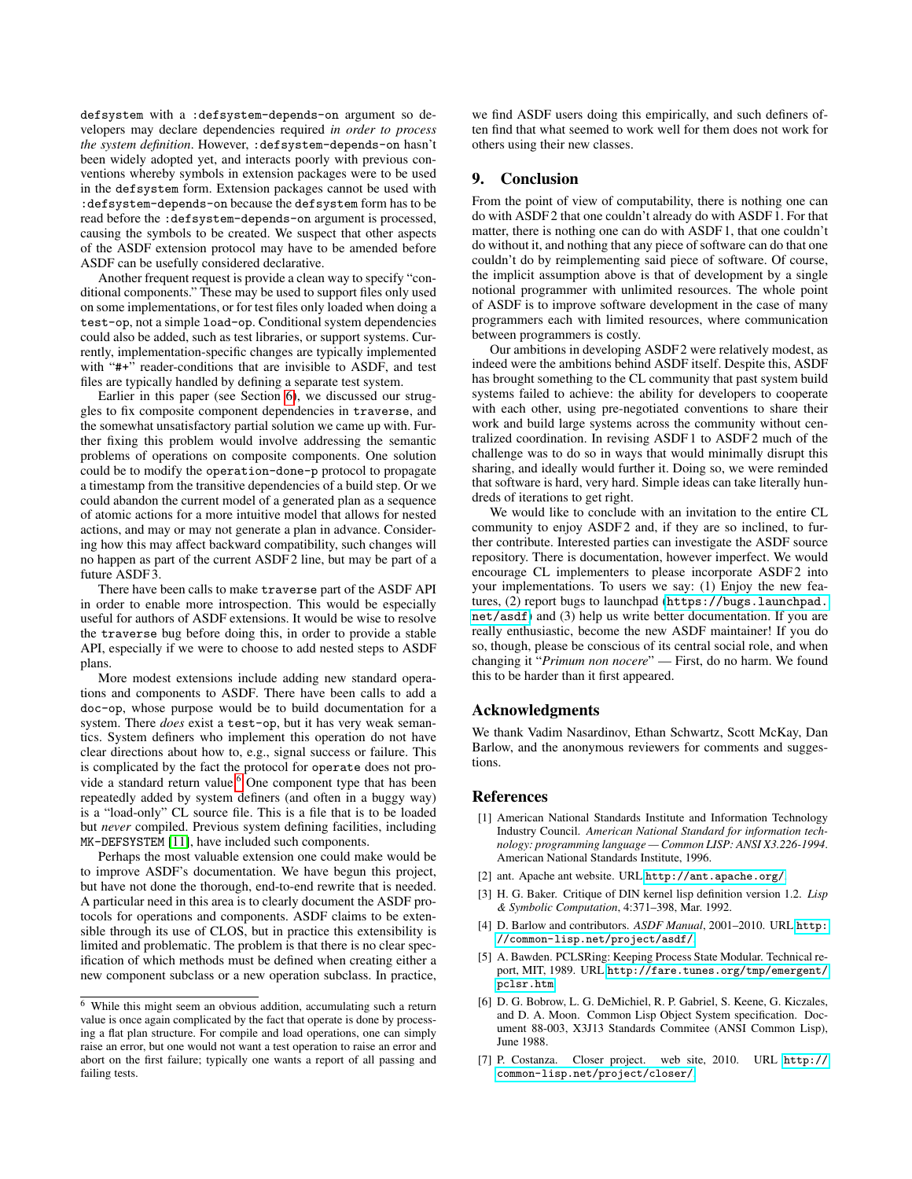defsystem with a :defsystem-depends-on argument so developers may declare dependencies required *in order to process the system definition*. However, :defsystem-depends-on hasn't been widely adopted yet, and interacts poorly with previous conventions whereby symbols in extension packages were to be used in the defsystem form. Extension packages cannot be used with :defsystem-depends-on because the defsystem form has to be read before the :defsystem-depends-on argument is processed, causing the symbols to be created. We suspect that other aspects of the ASDF extension protocol may have to be amended before ASDF can be usefully considered declarative.

Another frequent request is provide a clean way to specify "conditional components." These may be used to support files only used on some implementations, or for test files only loaded when doing a test-op, not a simple load-op. Conditional system dependencies could also be added, such as test libraries, or support systems. Currently, implementation-specific changes are typically implemented with "#+" reader-conditions that are invisible to ASDF, and test files are typically handled by defining a separate test system.

Earlier in this paper (see Section [6\)](#page-10-0), we discussed our struggles to fix composite component dependencies in traverse, and the somewhat unsatisfactory partial solution we came up with. Further fixing this problem would involve addressing the semantic problems of operations on composite components. One solution could be to modify the operation-done-p protocol to propagate a timestamp from the transitive dependencies of a build step. Or we could abandon the current model of a generated plan as a sequence of atomic actions for a more intuitive model that allows for nested actions, and may or may not generate a plan in advance. Considering how this may affect backward compatibility, such changes will no happen as part of the current ASDF 2 line, but may be part of a future ASDF 3.

There have been calls to make traverse part of the ASDF API in order to enable more introspection. This would be especially useful for authors of ASDF extensions. It would be wise to resolve the traverse bug before doing this, in order to provide a stable API, especially if we were to choose to add nested steps to ASDF plans.

More modest extensions include adding new standard operations and components to ASDF. There have been calls to add a doc-op, whose purpose would be to build documentation for a system. There *does* exist a test-op, but it has very weak semantics. System definers who implement this operation do not have clear directions about how to, e.g., signal success or failure. This is complicated by the fact the protocol for operate does not pro-vide a standard return value.<sup>[6](#page-12-7)</sup> One component type that has been repeatedly added by system definers (and often in a buggy way) is a "load-only" CL source file. This is a file that is to be loaded but *never* compiled. Previous system defining facilities, including MK-DEFSYSTEM [\[11\]](#page-13-6), have included such components.

Perhaps the most valuable extension one could make would be to improve ASDF's documentation. We have begun this project, but have not done the thorough, end-to-end rewrite that is needed. A particular need in this area is to clearly document the ASDF protocols for operations and components. ASDF claims to be extensible through its use of CLOS, but in practice this extensibility is limited and problematic. The problem is that there is no clear specification of which methods must be defined when creating either a new component subclass or a new operation subclass. In practice,

we find ASDF users doing this empirically, and such definers often find that what seemed to work well for them does not work for others using their new classes.

# 9. Conclusion

From the point of view of computability, there is nothing one can do with ASDF 2 that one couldn't already do with ASDF 1. For that matter, there is nothing one can do with ASDF 1, that one couldn't do without it, and nothing that any piece of software can do that one couldn't do by reimplementing said piece of software. Of course, the implicit assumption above is that of development by a single notional programmer with unlimited resources. The whole point of ASDF is to improve software development in the case of many programmers each with limited resources, where communication between programmers is costly.

Our ambitions in developing ASDF 2 were relatively modest, as indeed were the ambitions behind ASDF itself. Despite this, ASDF has brought something to the CL community that past system build systems failed to achieve: the ability for developers to cooperate with each other, using pre-negotiated conventions to share their work and build large systems across the community without centralized coordination. In revising ASDF 1 to ASDF 2 much of the challenge was to do so in ways that would minimally disrupt this sharing, and ideally would further it. Doing so, we were reminded that software is hard, very hard. Simple ideas can take literally hundreds of iterations to get right.

We would like to conclude with an invitation to the entire CL community to enjoy ASDF2 and, if they are so inclined, to further contribute. Interested parties can investigate the ASDF source repository. There is documentation, however imperfect. We would encourage CL implementers to please incorporate ASDF2 into your implementations. To users we say: (1) Enjoy the new features, (2) report bugs to launchpad ([https://bugs.launchpad.](https://bugs.launchpad.net/asdf) [net/asdf](https://bugs.launchpad.net/asdf)) and (3) help us write better documentation. If you are really enthusiastic, become the new ASDF maintainer! If you do so, though, please be conscious of its central social role, and when changing it "*Primum non nocere*" — First, do no harm. We found this to be harder than it first appeared.

# Acknowledgments

We thank Vadim Nasardinov, Ethan Schwartz, Scott McKay, Dan Barlow, and the anonymous reviewers for comments and suggestions.

# References

- <span id="page-12-1"></span>[1] American National Standards Institute and Information Technology Industry Council. *American National Standard for information technology: programming language — Common LISP: ANSI X3.226-1994*. American National Standards Institute, 1996.
- <span id="page-12-6"></span>[2] ant. Apache ant website. URL <http://ant.apache.org/>.
- <span id="page-12-5"></span>[3] H. G. Baker. Critique of DIN kernel lisp definition version 1.2. *Lisp & Symbolic Computation*, 4:371–398, Mar. 1992.
- <span id="page-12-0"></span>[4] D. Barlow and contributors. *ASDF Manual*, 2001–2010. URL [http:](http://common-lisp.net/project/asdf/) [//common-lisp.net/project/asdf/](http://common-lisp.net/project/asdf/).
- <span id="page-12-4"></span>[5] A. Bawden. PCLSRing: Keeping Process State Modular. Technical report, MIT, 1989. URL [http://fare.tunes.org/tmp/emergent/](http://fare.tunes.org/tmp/emergent/pclsr.htm) [pclsr.htm](http://fare.tunes.org/tmp/emergent/pclsr.htm).
- <span id="page-12-3"></span>[6] D. G. Bobrow, L. G. DeMichiel, R. P. Gabriel, S. Keene, G. Kiczales, and D. A. Moon. Common Lisp Object System specification. Document 88-003, X3J13 Standards Commitee (ANSI Common Lisp), June 1988.
- <span id="page-12-2"></span>[7] P. Costanza. Closer project. web site, 2010. URL [http://](http://common-lisp.net/project/closer/) [common-lisp.net/project/closer/](http://common-lisp.net/project/closer/).

<span id="page-12-7"></span><sup>6</sup> While this might seem an obvious addition, accumulating such a return value is once again complicated by the fact that operate is done by processing a flat plan structure. For compile and load operations, one can simply raise an error, but one would not want a test operation to raise an error and abort on the first failure; typically one wants a report of all passing and failing tests.